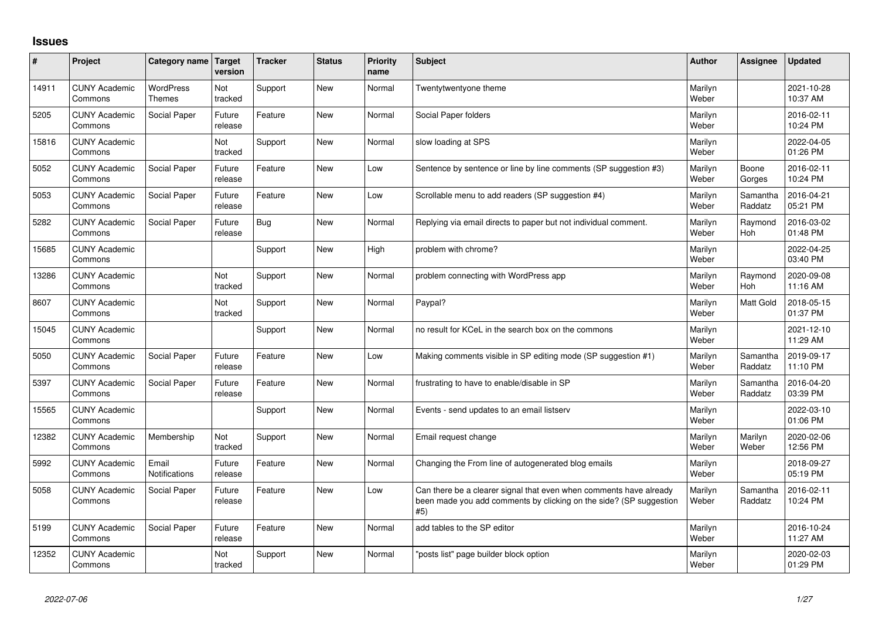## **Issues**

| #     | Project                         | Category name                     | <b>Target</b><br>version | <b>Tracker</b> | <b>Status</b> | Priority<br>name | <b>Subject</b>                                                                                                                                  | <b>Author</b>    | Assignee              | <b>Updated</b>         |
|-------|---------------------------------|-----------------------------------|--------------------------|----------------|---------------|------------------|-------------------------------------------------------------------------------------------------------------------------------------------------|------------------|-----------------------|------------------------|
| 14911 | <b>CUNY Academic</b><br>Commons | <b>WordPress</b><br><b>Themes</b> | Not<br>tracked           | Support        | <b>New</b>    | Normal           | Twentytwentyone theme                                                                                                                           | Marilyn<br>Weber |                       | 2021-10-28<br>10:37 AM |
| 5205  | <b>CUNY Academic</b><br>Commons | Social Paper                      | Future<br>release        | Feature        | <b>New</b>    | Normal           | Social Paper folders                                                                                                                            | Marilyn<br>Weber |                       | 2016-02-11<br>10:24 PM |
| 15816 | <b>CUNY Academic</b><br>Commons |                                   | <b>Not</b><br>tracked    | Support        | <b>New</b>    | Normal           | slow loading at SPS                                                                                                                             | Marilyn<br>Weber |                       | 2022-04-05<br>01:26 PM |
| 5052  | <b>CUNY Academic</b><br>Commons | Social Paper                      | Future<br>release        | Feature        | <b>New</b>    | Low              | Sentence by sentence or line by line comments (SP suggestion #3)                                                                                | Marilyn<br>Weber | Boone<br>Gorges       | 2016-02-11<br>10:24 PM |
| 5053  | <b>CUNY Academic</b><br>Commons | Social Paper                      | Future<br>release        | Feature        | <b>New</b>    | Low              | Scrollable menu to add readers (SP suggestion #4)                                                                                               | Marilyn<br>Weber | Samantha<br>Raddatz   | 2016-04-21<br>05:21 PM |
| 5282  | <b>CUNY Academic</b><br>Commons | Social Paper                      | Future<br>release        | <b>Bug</b>     | New           | Normal           | Replying via email directs to paper but not individual comment.                                                                                 | Marilyn<br>Weber | Raymond<br>Hoh        | 2016-03-02<br>01:48 PM |
| 15685 | <b>CUNY Academic</b><br>Commons |                                   |                          | Support        | <b>New</b>    | High             | problem with chrome?                                                                                                                            | Marilyn<br>Weber |                       | 2022-04-25<br>03:40 PM |
| 13286 | <b>CUNY Academic</b><br>Commons |                                   | Not<br>tracked           | Support        | <b>New</b>    | Normal           | problem connecting with WordPress app                                                                                                           | Marilyn<br>Weber | Raymond<br><b>Hoh</b> | 2020-09-08<br>11:16 AM |
| 8607  | <b>CUNY Academic</b><br>Commons |                                   | Not<br>tracked           | Support        | <b>New</b>    | Normal           | Paypal?                                                                                                                                         | Marilyn<br>Weber | Matt Gold             | 2018-05-15<br>01:37 PM |
| 15045 | <b>CUNY Academic</b><br>Commons |                                   |                          | Support        | <b>New</b>    | Normal           | no result for KCeL in the search box on the commons                                                                                             | Marilyn<br>Weber |                       | 2021-12-10<br>11:29 AM |
| 5050  | <b>CUNY Academic</b><br>Commons | Social Paper                      | Future<br>release        | Feature        | <b>New</b>    | Low              | Making comments visible in SP editing mode (SP suggestion #1)                                                                                   | Marilyn<br>Weber | Samantha<br>Raddatz   | 2019-09-17<br>11:10 PM |
| 5397  | <b>CUNY Academic</b><br>Commons | Social Paper                      | Future<br>release        | Feature        | <b>New</b>    | Normal           | frustrating to have to enable/disable in SP                                                                                                     | Marilyn<br>Weber | Samantha<br>Raddatz   | 2016-04-20<br>03:39 PM |
| 15565 | <b>CUNY Academic</b><br>Commons |                                   |                          | Support        | <b>New</b>    | Normal           | Events - send updates to an email listserv                                                                                                      | Marilyn<br>Weber |                       | 2022-03-10<br>01:06 PM |
| 12382 | <b>CUNY Academic</b><br>Commons | Membership                        | Not<br>tracked           | Support        | <b>New</b>    | Normal           | Email request change                                                                                                                            | Marilyn<br>Weber | Marilyn<br>Weber      | 2020-02-06<br>12:56 PM |
| 5992  | <b>CUNY Academic</b><br>Commons | Email<br>Notifications            | Future<br>release        | Feature        | <b>New</b>    | Normal           | Changing the From line of autogenerated blog emails                                                                                             | Marilyn<br>Weber |                       | 2018-09-27<br>05:19 PM |
| 5058  | <b>CUNY Academic</b><br>Commons | Social Paper                      | Future<br>release        | Feature        | <b>New</b>    | Low              | Can there be a clearer signal that even when comments have already<br>been made you add comments by clicking on the side? (SP suggestion<br>#5) | Marilyn<br>Weber | Samantha<br>Raddatz   | 2016-02-11<br>10:24 PM |
| 5199  | <b>CUNY Academic</b><br>Commons | Social Paper                      | Future<br>release        | Feature        | <b>New</b>    | Normal           | add tables to the SP editor                                                                                                                     | Marilyn<br>Weber |                       | 2016-10-24<br>11:27 AM |
| 12352 | <b>CUNY Academic</b><br>Commons |                                   | Not<br>tracked           | Support        | <b>New</b>    | Normal           | posts list" page builder block option                                                                                                           | Marilyn<br>Weber |                       | 2020-02-03<br>01:29 PM |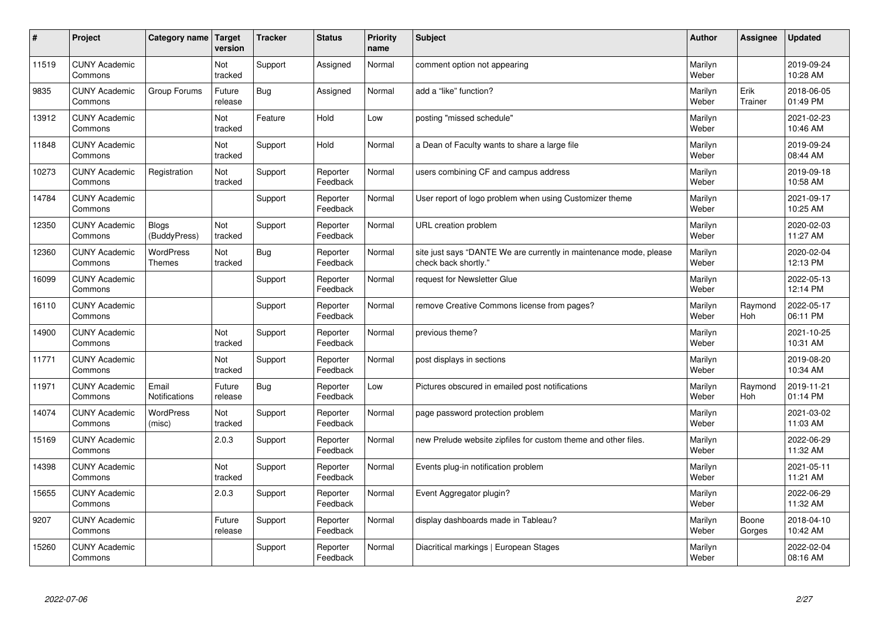| $\vert$ # | Project                         | Category name                     | <b>Target</b><br>version | <b>Tracker</b> | <b>Status</b>        | <b>Priority</b><br>name | <b>Subject</b>                                                                             | <b>Author</b>    | Assignee        | <b>Updated</b>         |
|-----------|---------------------------------|-----------------------------------|--------------------------|----------------|----------------------|-------------------------|--------------------------------------------------------------------------------------------|------------------|-----------------|------------------------|
| 11519     | <b>CUNY Academic</b><br>Commons |                                   | Not<br>tracked           | Support        | Assigned             | Normal                  | comment option not appearing                                                               | Marilyn<br>Weber |                 | 2019-09-24<br>10:28 AM |
| 9835      | <b>CUNY Academic</b><br>Commons | Group Forums                      | Future<br>release        | Bug            | Assigned             | Normal                  | add a "like" function?                                                                     | Marilyn<br>Weber | Erik<br>Trainer | 2018-06-05<br>01:49 PM |
| 13912     | <b>CUNY Academic</b><br>Commons |                                   | Not<br>tracked           | Feature        | Hold                 | Low                     | posting "missed schedule"                                                                  | Marilyn<br>Weber |                 | 2021-02-23<br>10:46 AM |
| 11848     | <b>CUNY Academic</b><br>Commons |                                   | Not<br>tracked           | Support        | Hold                 | Normal                  | a Dean of Faculty wants to share a large file                                              | Marilyn<br>Weber |                 | 2019-09-24<br>08:44 AM |
| 10273     | <b>CUNY Academic</b><br>Commons | Registration                      | Not<br>tracked           | Support        | Reporter<br>Feedback | Normal                  | users combining CF and campus address                                                      | Marilyn<br>Weber |                 | 2019-09-18<br>10:58 AM |
| 14784     | <b>CUNY Academic</b><br>Commons |                                   |                          | Support        | Reporter<br>Feedback | Normal                  | User report of logo problem when using Customizer theme                                    | Marilyn<br>Weber |                 | 2021-09-17<br>10:25 AM |
| 12350     | <b>CUNY Academic</b><br>Commons | <b>Blogs</b><br>(BuddyPress)      | Not<br>tracked           | Support        | Reporter<br>Feedback | Normal                  | URL creation problem                                                                       | Marilyn<br>Weber |                 | 2020-02-03<br>11:27 AM |
| 12360     | <b>CUNY Academic</b><br>Commons | <b>WordPress</b><br><b>Themes</b> | Not<br>tracked           | <b>Bug</b>     | Reporter<br>Feedback | Normal                  | site just says "DANTE We are currently in maintenance mode, please<br>check back shortly." | Marilyn<br>Weber |                 | 2020-02-04<br>12:13 PM |
| 16099     | <b>CUNY Academic</b><br>Commons |                                   |                          | Support        | Reporter<br>Feedback | Normal                  | request for Newsletter Glue                                                                | Marilyn<br>Weber |                 | 2022-05-13<br>12:14 PM |
| 16110     | <b>CUNY Academic</b><br>Commons |                                   |                          | Support        | Reporter<br>Feedback | Normal                  | remove Creative Commons license from pages?                                                | Marilyn<br>Weber | Raymond<br>Hoh  | 2022-05-17<br>06:11 PM |
| 14900     | <b>CUNY Academic</b><br>Commons |                                   | Not<br>tracked           | Support        | Reporter<br>Feedback | Normal                  | previous theme?                                                                            | Marilyn<br>Weber |                 | 2021-10-25<br>10:31 AM |
| 11771     | <b>CUNY Academic</b><br>Commons |                                   | Not<br>tracked           | Support        | Reporter<br>Feedback | Normal                  | post displays in sections                                                                  | Marilyn<br>Weber |                 | 2019-08-20<br>10:34 AM |
| 11971     | <b>CUNY Academic</b><br>Commons | Email<br>Notifications            | Future<br>release        | <b>Bug</b>     | Reporter<br>Feedback | Low                     | Pictures obscured in emailed post notifications                                            | Marilyn<br>Weber | Raymond<br>Hoh  | 2019-11-21<br>01:14 PM |
| 14074     | <b>CUNY Academic</b><br>Commons | <b>WordPress</b><br>(misc)        | Not<br>tracked           | Support        | Reporter<br>Feedback | Normal                  | page password protection problem                                                           | Marilyn<br>Weber |                 | 2021-03-02<br>11:03 AM |
| 15169     | <b>CUNY Academic</b><br>Commons |                                   | 2.0.3                    | Support        | Reporter<br>Feedback | Normal                  | new Prelude website zipfiles for custom theme and other files.                             | Marilyn<br>Weber |                 | 2022-06-29<br>11:32 AM |
| 14398     | <b>CUNY Academic</b><br>Commons |                                   | Not<br>tracked           | Support        | Reporter<br>Feedback | Normal                  | Events plug-in notification problem                                                        | Marilyn<br>Weber |                 | 2021-05-11<br>11:21 AM |
| 15655     | <b>CUNY Academic</b><br>Commons |                                   | 2.0.3                    | Support        | Reporter<br>Feedback | Normal                  | Event Aggregator plugin?                                                                   | Marilyn<br>Weber |                 | 2022-06-29<br>11:32 AM |
| 9207      | <b>CUNY Academic</b><br>Commons |                                   | Future<br>release        | Support        | Reporter<br>Feedback | Normal                  | display dashboards made in Tableau?                                                        | Marilyn<br>Weber | Boone<br>Gorges | 2018-04-10<br>10:42 AM |
| 15260     | <b>CUNY Academic</b><br>Commons |                                   |                          | Support        | Reporter<br>Feedback | Normal                  | Diacritical markings   European Stages                                                     | Marilyn<br>Weber |                 | 2022-02-04<br>08:16 AM |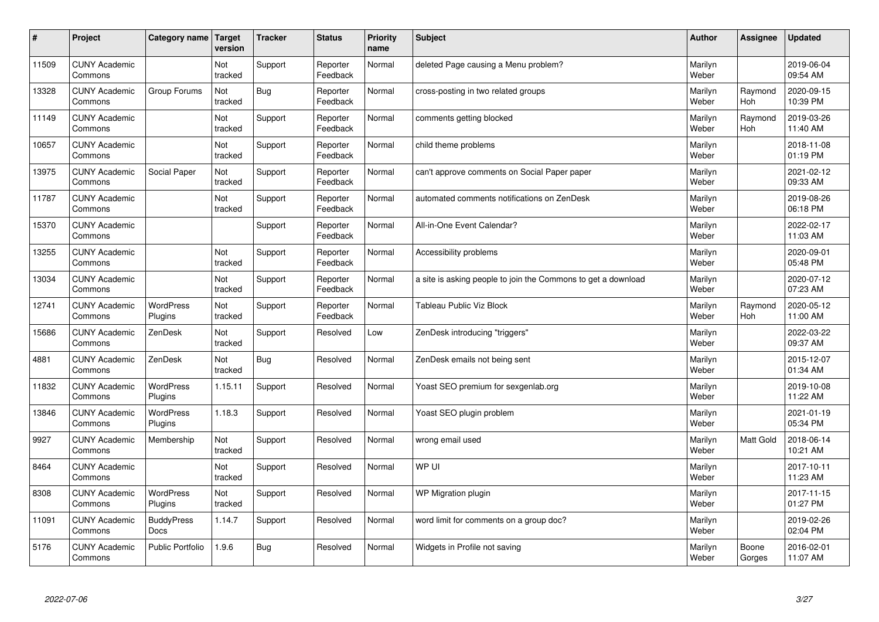| #     | Project                         | Category name               | Target<br>version | <b>Tracker</b> | <b>Status</b>        | <b>Priority</b><br>name | <b>Subject</b>                                                | <b>Author</b>    | Assignee              | <b>Updated</b>         |
|-------|---------------------------------|-----------------------------|-------------------|----------------|----------------------|-------------------------|---------------------------------------------------------------|------------------|-----------------------|------------------------|
| 11509 | <b>CUNY Academic</b><br>Commons |                             | Not<br>tracked    | Support        | Reporter<br>Feedback | Normal                  | deleted Page causing a Menu problem?                          | Marilyn<br>Weber |                       | 2019-06-04<br>09:54 AM |
| 13328 | <b>CUNY Academic</b><br>Commons | Group Forums                | Not<br>tracked    | Bug            | Reporter<br>Feedback | Normal                  | cross-posting in two related groups                           | Marilyn<br>Weber | Raymond<br>Hoh        | 2020-09-15<br>10:39 PM |
| 11149 | <b>CUNY Academic</b><br>Commons |                             | Not<br>tracked    | Support        | Reporter<br>Feedback | Normal                  | comments getting blocked                                      | Marilyn<br>Weber | Raymond<br><b>Hoh</b> | 2019-03-26<br>11:40 AM |
| 10657 | <b>CUNY Academic</b><br>Commons |                             | Not<br>tracked    | Support        | Reporter<br>Feedback | Normal                  | child theme problems                                          | Marilyn<br>Weber |                       | 2018-11-08<br>01:19 PM |
| 13975 | <b>CUNY Academic</b><br>Commons | Social Paper                | Not<br>tracked    | Support        | Reporter<br>Feedback | Normal                  | can't approve comments on Social Paper paper                  | Marilyn<br>Weber |                       | 2021-02-12<br>09:33 AM |
| 11787 | <b>CUNY Academic</b><br>Commons |                             | Not<br>tracked    | Support        | Reporter<br>Feedback | Normal                  | automated comments notifications on ZenDesk                   | Marilyn<br>Weber |                       | 2019-08-26<br>06:18 PM |
| 15370 | <b>CUNY Academic</b><br>Commons |                             |                   | Support        | Reporter<br>Feedback | Normal                  | All-in-One Event Calendar?                                    | Marilyn<br>Weber |                       | 2022-02-17<br>11:03 AM |
| 13255 | <b>CUNY Academic</b><br>Commons |                             | Not<br>tracked    | Support        | Reporter<br>Feedback | Normal                  | Accessibility problems                                        | Marilyn<br>Weber |                       | 2020-09-01<br>05:48 PM |
| 13034 | <b>CUNY Academic</b><br>Commons |                             | Not<br>tracked    | Support        | Reporter<br>Feedback | Normal                  | a site is asking people to join the Commons to get a download | Marilyn<br>Weber |                       | 2020-07-12<br>07:23 AM |
| 12741 | <b>CUNY Academic</b><br>Commons | WordPress<br>Plugins        | Not<br>tracked    | Support        | Reporter<br>Feedback | Normal                  | <b>Tableau Public Viz Block</b>                               | Marilyn<br>Weber | Raymond<br>Hoh        | 2020-05-12<br>11:00 AM |
| 15686 | <b>CUNY Academic</b><br>Commons | ZenDesk                     | Not<br>tracked    | Support        | Resolved             | Low                     | ZenDesk introducing "triggers"                                | Marilyn<br>Weber |                       | 2022-03-22<br>09:37 AM |
| 4881  | <b>CUNY Academic</b><br>Commons | ZenDesk                     | Not<br>tracked    | Bug            | Resolved             | Normal                  | ZenDesk emails not being sent                                 | Marilyn<br>Weber |                       | 2015-12-07<br>01:34 AM |
| 11832 | <b>CUNY Academic</b><br>Commons | WordPress<br>Plugins        | 1.15.11           | Support        | Resolved             | Normal                  | Yoast SEO premium for sexgenlab.org                           | Marilyn<br>Weber |                       | 2019-10-08<br>11:22 AM |
| 13846 | <b>CUNY Academic</b><br>Commons | <b>WordPress</b><br>Plugins | 1.18.3            | Support        | Resolved             | Normal                  | Yoast SEO plugin problem                                      | Marilyn<br>Weber |                       | 2021-01-19<br>05:34 PM |
| 9927  | <b>CUNY Academic</b><br>Commons | Membership                  | Not<br>tracked    | Support        | Resolved             | Normal                  | wrong email used                                              | Marilyn<br>Weber | <b>Matt Gold</b>      | 2018-06-14<br>10:21 AM |
| 8464  | <b>CUNY Academic</b><br>Commons |                             | Not<br>tracked    | Support        | Resolved             | Normal                  | WP UI                                                         | Marilyn<br>Weber |                       | 2017-10-11<br>11:23 AM |
| 8308  | <b>CUNY Academic</b><br>Commons | <b>WordPress</b><br>Plugins | Not<br>tracked    | Support        | Resolved             | Normal                  | WP Migration plugin                                           | Marilyn<br>Weber |                       | 2017-11-15<br>01:27 PM |
| 11091 | <b>CUNY Academic</b><br>Commons | <b>BuddyPress</b><br>Docs   | 1.14.7            | Support        | Resolved             | Normal                  | word limit for comments on a group doc?                       | Marilyn<br>Weber |                       | 2019-02-26<br>02:04 PM |
| 5176  | <b>CUNY Academic</b><br>Commons | <b>Public Portfolio</b>     | 1.9.6             | Bug            | Resolved             | Normal                  | Widgets in Profile not saving                                 | Marilyn<br>Weber | Boone<br>Gorges       | 2016-02-01<br>11:07 AM |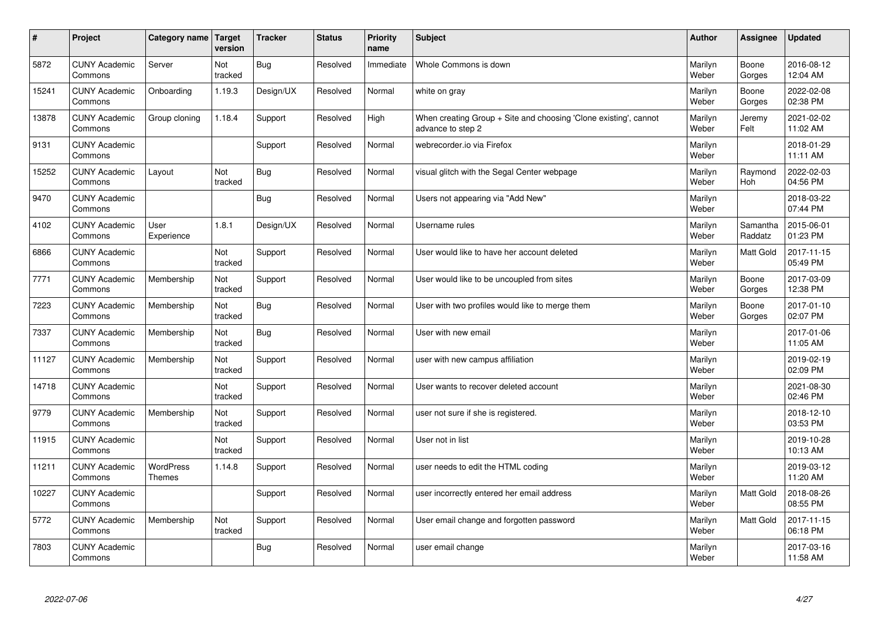| $\sharp$ | Project                         | Category name   Target            | version        | <b>Tracker</b> | <b>Status</b> | <b>Priority</b><br>name | <b>Subject</b>                                                                        | <b>Author</b>    | Assignee            | <b>Updated</b>         |
|----------|---------------------------------|-----------------------------------|----------------|----------------|---------------|-------------------------|---------------------------------------------------------------------------------------|------------------|---------------------|------------------------|
| 5872     | <b>CUNY Academic</b><br>Commons | Server                            | Not<br>tracked | Bug            | Resolved      | Immediate               | Whole Commons is down                                                                 | Marilyn<br>Weber | Boone<br>Gorges     | 2016-08-12<br>12:04 AM |
| 15241    | <b>CUNY Academic</b><br>Commons | Onboarding                        | 1.19.3         | Design/UX      | Resolved      | Normal                  | white on gray                                                                         | Marilyn<br>Weber | Boone<br>Gorges     | 2022-02-08<br>02:38 PM |
| 13878    | <b>CUNY Academic</b><br>Commons | Group cloning                     | 1.18.4         | Support        | Resolved      | High                    | When creating Group + Site and choosing 'Clone existing', cannot<br>advance to step 2 | Marilyn<br>Weber | Jeremy<br>Felt      | 2021-02-02<br>11:02 AM |
| 9131     | <b>CUNY Academic</b><br>Commons |                                   |                | Support        | Resolved      | Normal                  | webrecorder.jo via Firefox                                                            | Marilyn<br>Weber |                     | 2018-01-29<br>11:11 AM |
| 15252    | <b>CUNY Academic</b><br>Commons | Layout                            | Not<br>tracked | Bug            | Resolved      | Normal                  | visual glitch with the Segal Center webpage                                           | Marilyn<br>Weber | Raymond<br>Hoh      | 2022-02-03<br>04:56 PM |
| 9470     | <b>CUNY Academic</b><br>Commons |                                   |                | Bug            | Resolved      | Normal                  | Users not appearing via "Add New"                                                     | Marilyn<br>Weber |                     | 2018-03-22<br>07:44 PM |
| 4102     | <b>CUNY Academic</b><br>Commons | User<br>Experience                | 1.8.1          | Design/UX      | Resolved      | Normal                  | Username rules                                                                        | Marilyn<br>Weber | Samantha<br>Raddatz | 2015-06-01<br>01:23 PM |
| 6866     | <b>CUNY Academic</b><br>Commons |                                   | Not<br>tracked | Support        | Resolved      | Normal                  | User would like to have her account deleted                                           | Marilyn<br>Weber | Matt Gold           | 2017-11-15<br>05:49 PM |
| 7771     | <b>CUNY Academic</b><br>Commons | Membership                        | Not<br>tracked | Support        | Resolved      | Normal                  | User would like to be uncoupled from sites                                            | Marilyn<br>Weber | Boone<br>Gorges     | 2017-03-09<br>12:38 PM |
| 7223     | <b>CUNY Academic</b><br>Commons | Membership                        | Not<br>tracked | Bug            | Resolved      | Normal                  | User with two profiles would like to merge them                                       | Marilyn<br>Weber | Boone<br>Gorges     | 2017-01-10<br>02:07 PM |
| 7337     | <b>CUNY Academic</b><br>Commons | Membership                        | Not<br>tracked | <b>Bug</b>     | Resolved      | Normal                  | User with new email                                                                   | Marilyn<br>Weber |                     | 2017-01-06<br>11:05 AM |
| 11127    | <b>CUNY Academic</b><br>Commons | Membership                        | Not<br>tracked | Support        | Resolved      | Normal                  | user with new campus affiliation                                                      | Marilyn<br>Weber |                     | 2019-02-19<br>02:09 PM |
| 14718    | <b>CUNY Academic</b><br>Commons |                                   | Not<br>tracked | Support        | Resolved      | Normal                  | User wants to recover deleted account                                                 | Marilyn<br>Weber |                     | 2021-08-30<br>02:46 PM |
| 9779     | <b>CUNY Academic</b><br>Commons | Membership                        | Not<br>tracked | Support        | Resolved      | Normal                  | user not sure if she is registered.                                                   | Marilyn<br>Weber |                     | 2018-12-10<br>03:53 PM |
| 11915    | <b>CUNY Academic</b><br>Commons |                                   | Not<br>tracked | Support        | Resolved      | Normal                  | User not in list                                                                      | Marilyn<br>Weber |                     | 2019-10-28<br>10:13 AM |
| 11211    | <b>CUNY Academic</b><br>Commons | <b>WordPress</b><br><b>Themes</b> | 1.14.8         | Support        | Resolved      | Normal                  | user needs to edit the HTML coding                                                    | Marilyn<br>Weber |                     | 2019-03-12<br>11:20 AM |
| 10227    | <b>CUNY Academic</b><br>Commons |                                   |                | Support        | Resolved      | Normal                  | user incorrectly entered her email address                                            | Marilyn<br>Weber | Matt Gold           | 2018-08-26<br>08:55 PM |
| 5772     | <b>CUNY Academic</b><br>Commons | Membership                        | Not<br>tracked | Support        | Resolved      | Normal                  | User email change and forgotten password                                              | Marilyn<br>Weber | <b>Matt Gold</b>    | 2017-11-15<br>06:18 PM |
| 7803     | <b>CUNY Academic</b><br>Commons |                                   |                | Bug            | Resolved      | Normal                  | user email change                                                                     | Marilyn<br>Weber |                     | 2017-03-16<br>11:58 AM |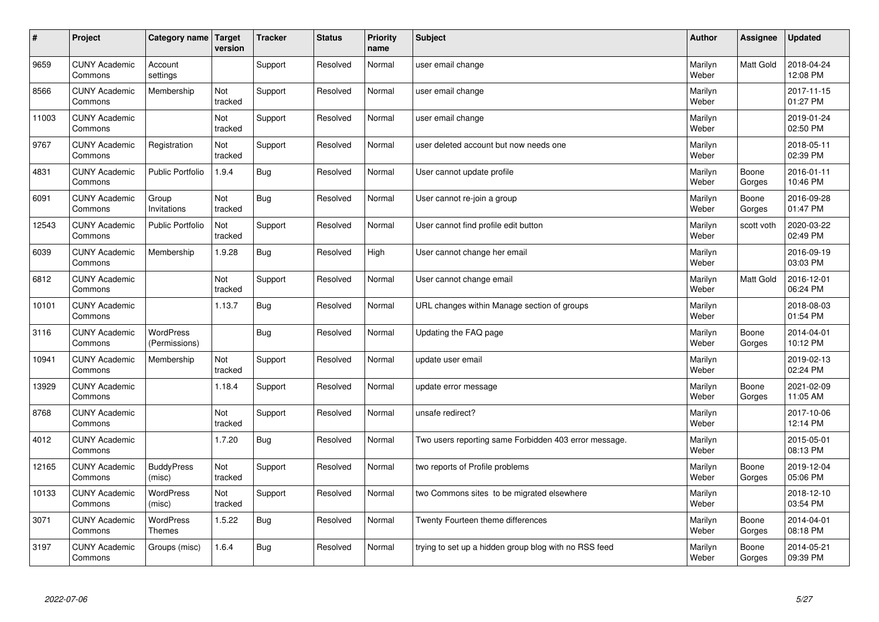| $\sharp$ | Project                         | Category name   Target            | version        | <b>Tracker</b> | <b>Status</b> | <b>Priority</b><br>name | <b>Subject</b>                                        | <b>Author</b>    | Assignee         | <b>Updated</b>         |
|----------|---------------------------------|-----------------------------------|----------------|----------------|---------------|-------------------------|-------------------------------------------------------|------------------|------------------|------------------------|
| 9659     | <b>CUNY Academic</b><br>Commons | Account<br>settings               |                | Support        | Resolved      | Normal                  | user email change                                     | Marilyn<br>Weber | <b>Matt Gold</b> | 2018-04-24<br>12:08 PM |
| 8566     | <b>CUNY Academic</b><br>Commons | Membership                        | Not<br>tracked | Support        | Resolved      | Normal                  | user email change                                     | Marilyn<br>Weber |                  | 2017-11-15<br>01:27 PM |
| 11003    | <b>CUNY Academic</b><br>Commons |                                   | Not<br>tracked | Support        | Resolved      | Normal                  | user email change                                     | Marilyn<br>Weber |                  | 2019-01-24<br>02:50 PM |
| 9767     | <b>CUNY Academic</b><br>Commons | Registration                      | Not<br>tracked | Support        | Resolved      | Normal                  | user deleted account but now needs one                | Marilyn<br>Weber |                  | 2018-05-11<br>02:39 PM |
| 4831     | <b>CUNY Academic</b><br>Commons | <b>Public Portfolio</b>           | 1.9.4          | Bug            | Resolved      | Normal                  | User cannot update profile                            | Marilyn<br>Weber | Boone<br>Gorges  | 2016-01-11<br>10:46 PM |
| 6091     | <b>CUNY Academic</b><br>Commons | Group<br>Invitations              | Not<br>tracked | Bug            | Resolved      | Normal                  | User cannot re-join a group                           | Marilyn<br>Weber | Boone<br>Gorges  | 2016-09-28<br>01:47 PM |
| 12543    | <b>CUNY Academic</b><br>Commons | <b>Public Portfolio</b>           | Not<br>tracked | Support        | Resolved      | Normal                  | User cannot find profile edit button                  | Marilyn<br>Weber | scott voth       | 2020-03-22<br>02:49 PM |
| 6039     | <b>CUNY Academic</b><br>Commons | Membership                        | 1.9.28         | <b>Bug</b>     | Resolved      | High                    | User cannot change her email                          | Marilyn<br>Weber |                  | 2016-09-19<br>03:03 PM |
| 6812     | <b>CUNY Academic</b><br>Commons |                                   | Not<br>tracked | Support        | Resolved      | Normal                  | User cannot change email                              | Marilyn<br>Weber | <b>Matt Gold</b> | 2016-12-01<br>06:24 PM |
| 10101    | <b>CUNY Academic</b><br>Commons |                                   | 1.13.7         | <b>Bug</b>     | Resolved      | Normal                  | URL changes within Manage section of groups           | Marilyn<br>Weber |                  | 2018-08-03<br>01:54 PM |
| 3116     | <b>CUNY Academic</b><br>Commons | WordPress<br>(Permissions)        |                | <b>Bug</b>     | Resolved      | Normal                  | Updating the FAQ page                                 | Marilyn<br>Weber | Boone<br>Gorges  | 2014-04-01<br>10:12 PM |
| 10941    | <b>CUNY Academic</b><br>Commons | Membership                        | Not<br>tracked | Support        | Resolved      | Normal                  | update user email                                     | Marilyn<br>Weber |                  | 2019-02-13<br>02:24 PM |
| 13929    | <b>CUNY Academic</b><br>Commons |                                   | 1.18.4         | Support        | Resolved      | Normal                  | update error message                                  | Marilyn<br>Weber | Boone<br>Gorges  | 2021-02-09<br>11:05 AM |
| 8768     | <b>CUNY Academic</b><br>Commons |                                   | Not<br>tracked | Support        | Resolved      | Normal                  | unsafe redirect?                                      | Marilyn<br>Weber |                  | 2017-10-06<br>12:14 PM |
| 4012     | <b>CUNY Academic</b><br>Commons |                                   | 1.7.20         | <b>Bug</b>     | Resolved      | Normal                  | Two users reporting same Forbidden 403 error message. | Marilyn<br>Weber |                  | 2015-05-01<br>08:13 PM |
| 12165    | <b>CUNY Academic</b><br>Commons | <b>BuddyPress</b><br>(misc)       | Not<br>tracked | Support        | Resolved      | Normal                  | two reports of Profile problems                       | Marilyn<br>Weber | Boone<br>Gorges  | 2019-12-04<br>05:06 PM |
| 10133    | <b>CUNY Academic</b><br>Commons | WordPress<br>(misc)               | Not<br>tracked | Support        | Resolved      | Normal                  | two Commons sites to be migrated elsewhere            | Marilyn<br>Weber |                  | 2018-12-10<br>03:54 PM |
| 3071     | <b>CUNY Academic</b><br>Commons | <b>WordPress</b><br><b>Themes</b> | 1.5.22         | <b>Bug</b>     | Resolved      | Normal                  | Twenty Fourteen theme differences                     | Marilyn<br>Weber | Boone<br>Gorges  | 2014-04-01<br>08:18 PM |
| 3197     | <b>CUNY Academic</b><br>Commons | Groups (misc)                     | 1.6.4          | Bug            | Resolved      | Normal                  | trying to set up a hidden group blog with no RSS feed | Marilyn<br>Weber | Boone<br>Gorges  | 2014-05-21<br>09:39 PM |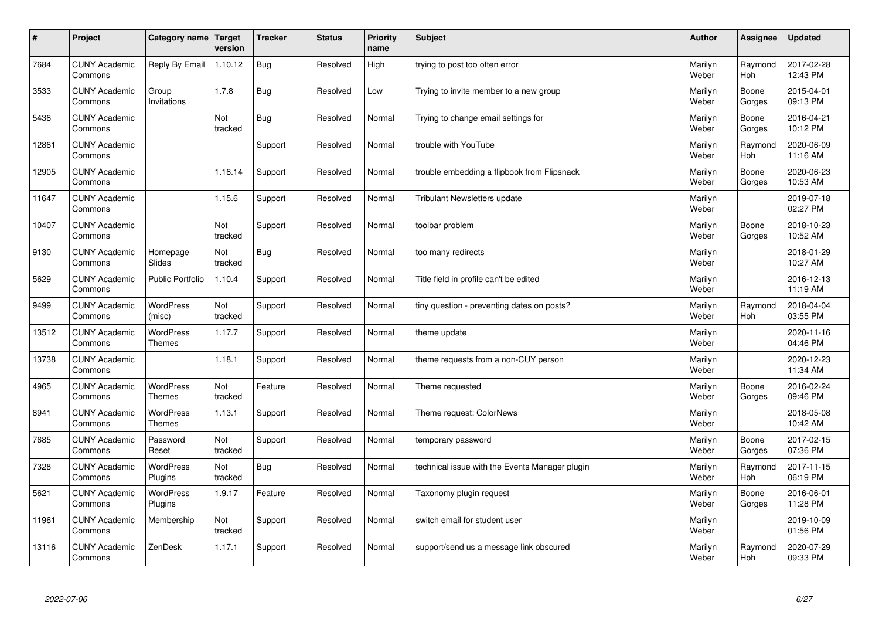| $\sharp$ | Project                         | Category name   Target            | version        | <b>Tracker</b> | <b>Status</b> | <b>Priority</b><br>name | <b>Subject</b>                                 | <b>Author</b>    | Assignee              | <b>Updated</b>         |
|----------|---------------------------------|-----------------------------------|----------------|----------------|---------------|-------------------------|------------------------------------------------|------------------|-----------------------|------------------------|
| 7684     | <b>CUNY Academic</b><br>Commons | Reply By Email                    | 1.10.12        | <b>Bug</b>     | Resolved      | High                    | trying to post too often error                 | Marilyn<br>Weber | Raymond<br>Hoh        | 2017-02-28<br>12:43 PM |
| 3533     | <b>CUNY Academic</b><br>Commons | Group<br>Invitations              | 1.7.8          | Bug            | Resolved      | Low                     | Trying to invite member to a new group         | Marilyn<br>Weber | Boone<br>Gorges       | 2015-04-01<br>09:13 PM |
| 5436     | <b>CUNY Academic</b><br>Commons |                                   | Not<br>tracked | Bug            | Resolved      | Normal                  | Trying to change email settings for            | Marilyn<br>Weber | Boone<br>Gorges       | 2016-04-21<br>10:12 PM |
| 12861    | <b>CUNY Academic</b><br>Commons |                                   |                | Support        | Resolved      | Normal                  | trouble with YouTube                           | Marilyn<br>Weber | Raymond<br><b>Hoh</b> | 2020-06-09<br>11:16 AM |
| 12905    | <b>CUNY Academic</b><br>Commons |                                   | 1.16.14        | Support        | Resolved      | Normal                  | trouble embedding a flipbook from Flipsnack    | Marilyn<br>Weber | Boone<br>Gorges       | 2020-06-23<br>10:53 AM |
| 11647    | <b>CUNY Academic</b><br>Commons |                                   | 1.15.6         | Support        | Resolved      | Normal                  | <b>Tribulant Newsletters update</b>            | Marilyn<br>Weber |                       | 2019-07-18<br>02:27 PM |
| 10407    | <b>CUNY Academic</b><br>Commons |                                   | Not<br>tracked | Support        | Resolved      | Normal                  | toolbar problem                                | Marilyn<br>Weber | Boone<br>Gorges       | 2018-10-23<br>10:52 AM |
| 9130     | <b>CUNY Academic</b><br>Commons | Homepage<br>Slides                | Not<br>tracked | Bug            | Resolved      | Normal                  | too many redirects                             | Marilyn<br>Weber |                       | 2018-01-29<br>10:27 AM |
| 5629     | <b>CUNY Academic</b><br>Commons | <b>Public Portfolio</b>           | 1.10.4         | Support        | Resolved      | Normal                  | Title field in profile can't be edited         | Marilyn<br>Weber |                       | 2016-12-13<br>11:19 AM |
| 9499     | <b>CUNY Academic</b><br>Commons | WordPress<br>(misc)               | Not<br>tracked | Support        | Resolved      | Normal                  | tiny question - preventing dates on posts?     | Marilyn<br>Weber | Raymond<br>Hoh        | 2018-04-04<br>03:55 PM |
| 13512    | <b>CUNY Academic</b><br>Commons | WordPress<br><b>Themes</b>        | 1.17.7         | Support        | Resolved      | Normal                  | theme update                                   | Marilyn<br>Weber |                       | 2020-11-16<br>04:46 PM |
| 13738    | <b>CUNY Academic</b><br>Commons |                                   | 1.18.1         | Support        | Resolved      | Normal                  | theme requests from a non-CUY person           | Marilyn<br>Weber |                       | 2020-12-23<br>11:34 AM |
| 4965     | <b>CUNY Academic</b><br>Commons | <b>WordPress</b><br><b>Themes</b> | Not<br>tracked | Feature        | Resolved      | Normal                  | Theme requested                                | Marilyn<br>Weber | Boone<br>Gorges       | 2016-02-24<br>09:46 PM |
| 8941     | <b>CUNY Academic</b><br>Commons | WordPress<br><b>Themes</b>        | 1.13.1         | Support        | Resolved      | Normal                  | Theme request: ColorNews                       | Marilyn<br>Weber |                       | 2018-05-08<br>10:42 AM |
| 7685     | <b>CUNY Academic</b><br>Commons | Password<br>Reset                 | Not<br>tracked | Support        | Resolved      | Normal                  | temporary password                             | Marilyn<br>Weber | Boone<br>Gorges       | 2017-02-15<br>07:36 PM |
| 7328     | <b>CUNY Academic</b><br>Commons | <b>WordPress</b><br>Plugins       | Not<br>tracked | <b>Bug</b>     | Resolved      | Normal                  | technical issue with the Events Manager plugin | Marilyn<br>Weber | Raymond<br><b>Hoh</b> | 2017-11-15<br>06:19 PM |
| 5621     | <b>CUNY Academic</b><br>Commons | WordPress<br>Plugins              | 1.9.17         | Feature        | Resolved      | Normal                  | Taxonomy plugin request                        | Marilyn<br>Weber | Boone<br>Gorges       | 2016-06-01<br>11:28 PM |
| 11961    | <b>CUNY Academic</b><br>Commons | Membership                        | Not<br>tracked | Support        | Resolved      | Normal                  | switch email for student user                  | Marilyn<br>Weber |                       | 2019-10-09<br>01:56 PM |
| 13116    | <b>CUNY Academic</b><br>Commons | ZenDesk                           | 1.17.1         | Support        | Resolved      | Normal                  | support/send us a message link obscured        | Marilyn<br>Weber | Raymond<br>Hoh        | 2020-07-29<br>09:33 PM |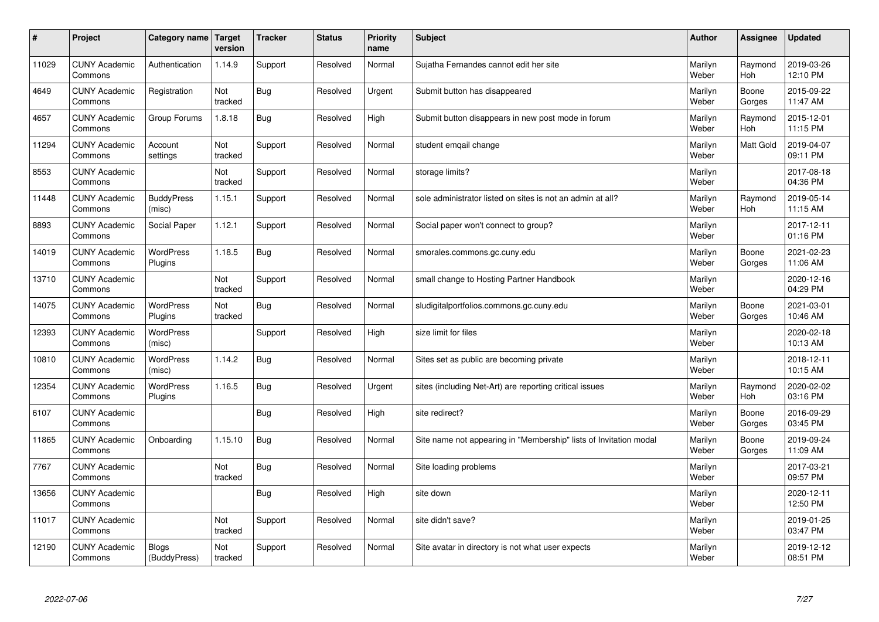| #     | Project                         | Category name                | <b>Target</b><br>version | <b>Tracker</b> | <b>Status</b> | <b>Priority</b><br>name | <b>Subject</b>                                                    | <b>Author</b>    | Assignee        | <b>Updated</b>         |
|-------|---------------------------------|------------------------------|--------------------------|----------------|---------------|-------------------------|-------------------------------------------------------------------|------------------|-----------------|------------------------|
| 11029 | <b>CUNY Academic</b><br>Commons | Authentication               | 1.14.9                   | Support        | Resolved      | Normal                  | Sujatha Fernandes cannot edit her site                            | Marilyn<br>Weber | Raymond<br>Hoh  | 2019-03-26<br>12:10 PM |
| 4649  | <b>CUNY Academic</b><br>Commons | Registration                 | Not<br>tracked           | <b>Bug</b>     | Resolved      | Urgent                  | Submit button has disappeared                                     | Marilyn<br>Weber | Boone<br>Gorges | 2015-09-22<br>11:47 AM |
| 4657  | <b>CUNY Academic</b><br>Commons | Group Forums                 | 1.8.18                   | <b>Bug</b>     | Resolved      | High                    | Submit button disappears in new post mode in forum                | Marilyn<br>Weber | Raymond<br>Hoh  | 2015-12-01<br>11:15 PM |
| 11294 | <b>CUNY Academic</b><br>Commons | Account<br>settings          | Not<br>tracked           | Support        | Resolved      | Normal                  | student emgail change                                             | Marilyn<br>Weber | Matt Gold       | 2019-04-07<br>09:11 PM |
| 8553  | <b>CUNY Academic</b><br>Commons |                              | Not<br>tracked           | Support        | Resolved      | Normal                  | storage limits?                                                   | Marilyn<br>Weber |                 | 2017-08-18<br>04:36 PM |
| 11448 | <b>CUNY Academic</b><br>Commons | <b>BuddyPress</b><br>(misc)  | 1.15.1                   | Support        | Resolved      | Normal                  | sole administrator listed on sites is not an admin at all?        | Marilyn<br>Weber | Raymond<br>Hoh  | 2019-05-14<br>11:15 AM |
| 8893  | <b>CUNY Academic</b><br>Commons | Social Paper                 | 1.12.1                   | Support        | Resolved      | Normal                  | Social paper won't connect to group?                              | Marilyn<br>Weber |                 | 2017-12-11<br>01:16 PM |
| 14019 | <b>CUNY Academic</b><br>Commons | <b>WordPress</b><br>Plugins  | 1.18.5                   | <b>Bug</b>     | Resolved      | Normal                  | smorales.commons.gc.cuny.edu                                      | Marilyn<br>Weber | Boone<br>Gorges | 2021-02-23<br>11:06 AM |
| 13710 | <b>CUNY Academic</b><br>Commons |                              | Not<br>tracked           | Support        | Resolved      | Normal                  | small change to Hosting Partner Handbook                          | Marilyn<br>Weber |                 | 2020-12-16<br>04:29 PM |
| 14075 | <b>CUNY Academic</b><br>Commons | <b>WordPress</b><br>Plugins  | Not<br>tracked           | <b>Bug</b>     | Resolved      | Normal                  | sludigitalportfolios.commons.gc.cuny.edu                          | Marilyn<br>Weber | Boone<br>Gorges | 2021-03-01<br>10:46 AM |
| 12393 | <b>CUNY Academic</b><br>Commons | <b>WordPress</b><br>(misc)   |                          | Support        | Resolved      | High                    | size limit for files                                              | Marilyn<br>Weber |                 | 2020-02-18<br>10:13 AM |
| 10810 | <b>CUNY Academic</b><br>Commons | <b>WordPress</b><br>(misc)   | 1.14.2                   | Bug            | Resolved      | Normal                  | Sites set as public are becoming private                          | Marilyn<br>Weber |                 | 2018-12-11<br>10:15 AM |
| 12354 | <b>CUNY Academic</b><br>Commons | <b>WordPress</b><br>Plugins  | 1.16.5                   | Bug            | Resolved      | Urgent                  | sites (including Net-Art) are reporting critical issues           | Marilyn<br>Weber | Raymond<br>Hoh  | 2020-02-02<br>03:16 PM |
| 6107  | <b>CUNY Academic</b><br>Commons |                              |                          | <b>Bug</b>     | Resolved      | High                    | site redirect?                                                    | Marilyn<br>Weber | Boone<br>Gorges | 2016-09-29<br>03:45 PM |
| 11865 | <b>CUNY Academic</b><br>Commons | Onboarding                   | 1.15.10                  | Bug            | Resolved      | Normal                  | Site name not appearing in "Membership" lists of Invitation modal | Marilyn<br>Weber | Boone<br>Gorges | 2019-09-24<br>11:09 AM |
| 7767  | <b>CUNY Academic</b><br>Commons |                              | Not<br>tracked           | <b>Bug</b>     | Resolved      | Normal                  | Site loading problems                                             | Marilyn<br>Weber |                 | 2017-03-21<br>09:57 PM |
| 13656 | <b>CUNY Academic</b><br>Commons |                              |                          | Bug            | Resolved      | High                    | site down                                                         | Marilyn<br>Weber |                 | 2020-12-11<br>12:50 PM |
| 11017 | <b>CUNY Academic</b><br>Commons |                              | Not<br>tracked           | Support        | Resolved      | Normal                  | site didn't save?                                                 | Marilyn<br>Weber |                 | 2019-01-25<br>03:47 PM |
| 12190 | <b>CUNY Academic</b><br>Commons | <b>Blogs</b><br>(BuddyPress) | Not<br>tracked           | Support        | Resolved      | Normal                  | Site avatar in directory is not what user expects                 | Marilyn<br>Weber |                 | 2019-12-12<br>08:51 PM |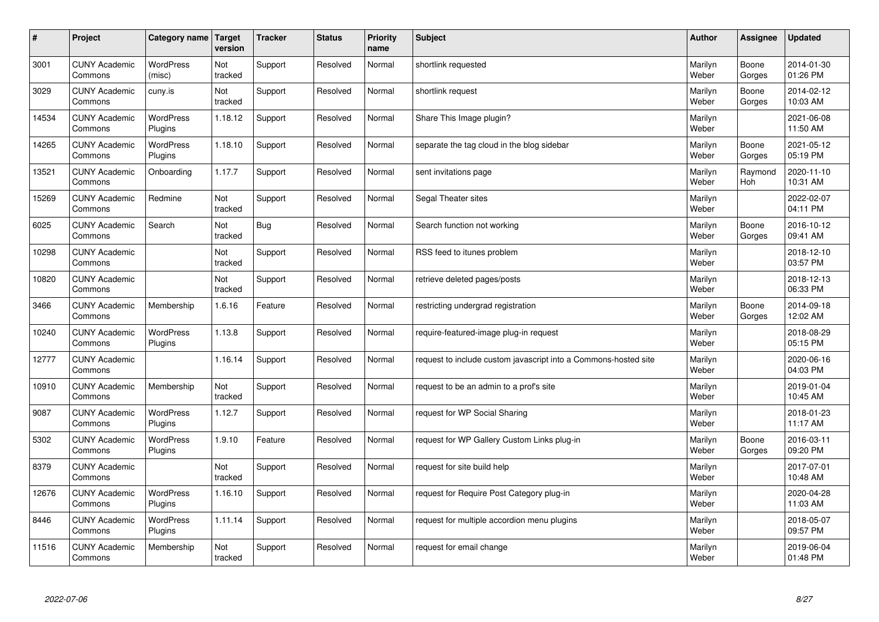| #     | Project                         | Category name   Target      | version        | <b>Tracker</b> | <b>Status</b> | <b>Priority</b><br>name | <b>Subject</b>                                                  | <b>Author</b>    | Assignee              | <b>Updated</b>         |
|-------|---------------------------------|-----------------------------|----------------|----------------|---------------|-------------------------|-----------------------------------------------------------------|------------------|-----------------------|------------------------|
| 3001  | <b>CUNY Academic</b><br>Commons | <b>WordPress</b><br>(misc)  | Not<br>tracked | Support        | Resolved      | Normal                  | shortlink requested                                             | Marilyn<br>Weber | Boone<br>Gorges       | 2014-01-30<br>01:26 PM |
| 3029  | <b>CUNY Academic</b><br>Commons | cuny.is                     | Not<br>tracked | Support        | Resolved      | Normal                  | shortlink request                                               | Marilyn<br>Weber | Boone<br>Gorges       | 2014-02-12<br>10:03 AM |
| 14534 | <b>CUNY Academic</b><br>Commons | <b>WordPress</b><br>Plugins | 1.18.12        | Support        | Resolved      | Normal                  | Share This Image plugin?                                        | Marilyn<br>Weber |                       | 2021-06-08<br>11:50 AM |
| 14265 | <b>CUNY Academic</b><br>Commons | <b>WordPress</b><br>Plugins | 1.18.10        | Support        | Resolved      | Normal                  | separate the tag cloud in the blog sidebar                      | Marilyn<br>Weber | Boone<br>Gorges       | 2021-05-12<br>05:19 PM |
| 13521 | <b>CUNY Academic</b><br>Commons | Onboarding                  | 1.17.7         | Support        | Resolved      | Normal                  | sent invitations page                                           | Marilyn<br>Weber | Raymond<br><b>Hoh</b> | 2020-11-10<br>10:31 AM |
| 15269 | <b>CUNY Academic</b><br>Commons | Redmine                     | Not<br>tracked | Support        | Resolved      | Normal                  | Segal Theater sites                                             | Marilyn<br>Weber |                       | 2022-02-07<br>04:11 PM |
| 6025  | <b>CUNY Academic</b><br>Commons | Search                      | Not<br>tracked | Bug            | Resolved      | Normal                  | Search function not working                                     | Marilyn<br>Weber | Boone<br>Gorges       | 2016-10-12<br>09:41 AM |
| 10298 | <b>CUNY Academic</b><br>Commons |                             | Not<br>tracked | Support        | Resolved      | Normal                  | RSS feed to itunes problem                                      | Marilyn<br>Weber |                       | 2018-12-10<br>03:57 PM |
| 10820 | <b>CUNY Academic</b><br>Commons |                             | Not<br>tracked | Support        | Resolved      | Normal                  | retrieve deleted pages/posts                                    | Marilyn<br>Weber |                       | 2018-12-13<br>06:33 PM |
| 3466  | <b>CUNY Academic</b><br>Commons | Membership                  | 1.6.16         | Feature        | Resolved      | Normal                  | restricting undergrad registration                              | Marilyn<br>Weber | Boone<br>Gorges       | 2014-09-18<br>12:02 AM |
| 10240 | <b>CUNY Academic</b><br>Commons | <b>WordPress</b><br>Plugins | 1.13.8         | Support        | Resolved      | Normal                  | require-featured-image plug-in request                          | Marilyn<br>Weber |                       | 2018-08-29<br>05:15 PM |
| 12777 | <b>CUNY Academic</b><br>Commons |                             | 1.16.14        | Support        | Resolved      | Normal                  | request to include custom javascript into a Commons-hosted site | Marilyn<br>Weber |                       | 2020-06-16<br>04:03 PM |
| 10910 | <b>CUNY Academic</b><br>Commons | Membership                  | Not<br>tracked | Support        | Resolved      | Normal                  | request to be an admin to a prof's site                         | Marilyn<br>Weber |                       | 2019-01-04<br>10:45 AM |
| 9087  | <b>CUNY Academic</b><br>Commons | <b>WordPress</b><br>Plugins | 1.12.7         | Support        | Resolved      | Normal                  | request for WP Social Sharing                                   | Marilyn<br>Weber |                       | 2018-01-23<br>11:17 AM |
| 5302  | <b>CUNY Academic</b><br>Commons | WordPress<br>Plugins        | 1.9.10         | Feature        | Resolved      | Normal                  | request for WP Gallery Custom Links plug-in                     | Marilyn<br>Weber | Boone<br>Gorges       | 2016-03-11<br>09:20 PM |
| 8379  | <b>CUNY Academic</b><br>Commons |                             | Not<br>tracked | Support        | Resolved      | Normal                  | request for site build help                                     | Marilyn<br>Weber |                       | 2017-07-01<br>10:48 AM |
| 12676 | <b>CUNY Academic</b><br>Commons | <b>WordPress</b><br>Plugins | 1.16.10        | Support        | Resolved      | Normal                  | request for Require Post Category plug-in                       | Marilyn<br>Weber |                       | 2020-04-28<br>11:03 AM |
| 8446  | <b>CUNY Academic</b><br>Commons | WordPress<br>Plugins        | 1.11.14        | Support        | Resolved      | Normal                  | request for multiple accordion menu plugins                     | Marilyn<br>Weber |                       | 2018-05-07<br>09:57 PM |
| 11516 | <b>CUNY Academic</b><br>Commons | Membership                  | Not<br>tracked | Support        | Resolved      | Normal                  | request for email change                                        | Marilyn<br>Weber |                       | 2019-06-04<br>01:48 PM |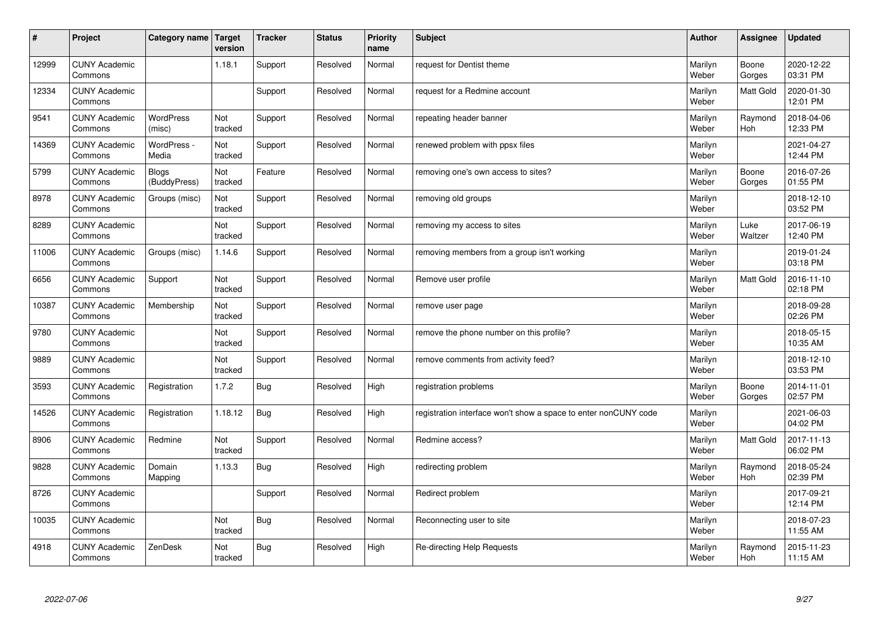| #     | Project                         | Category name   Target       | version        | <b>Tracker</b> | <b>Status</b> | <b>Priority</b><br>name | <b>Subject</b>                                                  | <b>Author</b>    | Assignee              | <b>Updated</b>         |
|-------|---------------------------------|------------------------------|----------------|----------------|---------------|-------------------------|-----------------------------------------------------------------|------------------|-----------------------|------------------------|
| 12999 | <b>CUNY Academic</b><br>Commons |                              | 1.18.1         | Support        | Resolved      | Normal                  | request for Dentist theme                                       | Marilyn<br>Weber | Boone<br>Gorges       | 2020-12-22<br>03:31 PM |
| 12334 | <b>CUNY Academic</b><br>Commons |                              |                | Support        | Resolved      | Normal                  | request for a Redmine account                                   | Marilyn<br>Weber | <b>Matt Gold</b>      | 2020-01-30<br>12:01 PM |
| 9541  | <b>CUNY Academic</b><br>Commons | <b>WordPress</b><br>(misc)   | Not<br>tracked | Support        | Resolved      | Normal                  | repeating header banner                                         | Marilyn<br>Weber | Raymond<br>Hoh        | 2018-04-06<br>12:33 PM |
| 14369 | <b>CUNY Academic</b><br>Commons | WordPress -<br>Media         | Not<br>tracked | Support        | Resolved      | Normal                  | renewed problem with ppsx files                                 | Marilyn<br>Weber |                       | 2021-04-27<br>12:44 PM |
| 5799  | <b>CUNY Academic</b><br>Commons | <b>Blogs</b><br>(BuddyPress) | Not<br>tracked | Feature        | Resolved      | Normal                  | removing one's own access to sites?                             | Marilyn<br>Weber | Boone<br>Gorges       | 2016-07-26<br>01:55 PM |
| 8978  | <b>CUNY Academic</b><br>Commons | Groups (misc)                | Not<br>tracked | Support        | Resolved      | Normal                  | removing old groups                                             | Marilyn<br>Weber |                       | 2018-12-10<br>03:52 PM |
| 8289  | <b>CUNY Academic</b><br>Commons |                              | Not<br>tracked | Support        | Resolved      | Normal                  | removing my access to sites                                     | Marilyn<br>Weber | Luke<br>Waltzer       | 2017-06-19<br>12:40 PM |
| 11006 | <b>CUNY Academic</b><br>Commons | Groups (misc)                | 1.14.6         | Support        | Resolved      | Normal                  | removing members from a group isn't working                     | Marilyn<br>Weber |                       | 2019-01-24<br>03:18 PM |
| 6656  | <b>CUNY Academic</b><br>Commons | Support                      | Not<br>tracked | Support        | Resolved      | Normal                  | Remove user profile                                             | Marilyn<br>Weber | <b>Matt Gold</b>      | 2016-11-10<br>02:18 PM |
| 10387 | <b>CUNY Academic</b><br>Commons | Membership                   | Not<br>tracked | Support        | Resolved      | Normal                  | remove user page                                                | Marilyn<br>Weber |                       | 2018-09-28<br>02:26 PM |
| 9780  | <b>CUNY Academic</b><br>Commons |                              | Not<br>tracked | Support        | Resolved      | Normal                  | remove the phone number on this profile?                        | Marilyn<br>Weber |                       | 2018-05-15<br>10:35 AM |
| 9889  | <b>CUNY Academic</b><br>Commons |                              | Not<br>tracked | Support        | Resolved      | Normal                  | remove comments from activity feed?                             | Marilyn<br>Weber |                       | 2018-12-10<br>03:53 PM |
| 3593  | <b>CUNY Academic</b><br>Commons | Registration                 | 1.7.2          | Bug            | Resolved      | High                    | registration problems                                           | Marilyn<br>Weber | Boone<br>Gorges       | 2014-11-01<br>02:57 PM |
| 14526 | <b>CUNY Academic</b><br>Commons | Registration                 | 1.18.12        | <b>Bug</b>     | Resolved      | High                    | registration interface won't show a space to enter nonCUNY code | Marilyn<br>Weber |                       | 2021-06-03<br>04:02 PM |
| 8906  | <b>CUNY Academic</b><br>Commons | Redmine                      | Not<br>tracked | Support        | Resolved      | Normal                  | Redmine access?                                                 | Marilyn<br>Weber | Matt Gold             | 2017-11-13<br>06:02 PM |
| 9828  | <b>CUNY Academic</b><br>Commons | Domain<br>Mapping            | 1.13.3         | Bug            | Resolved      | High                    | redirecting problem                                             | Marilyn<br>Weber | Raymond<br><b>Hoh</b> | 2018-05-24<br>02:39 PM |
| 8726  | <b>CUNY Academic</b><br>Commons |                              |                | Support        | Resolved      | Normal                  | Redirect problem                                                | Marilyn<br>Weber |                       | 2017-09-21<br>12:14 PM |
| 10035 | <b>CUNY Academic</b><br>Commons |                              | Not<br>tracked | <b>Bug</b>     | Resolved      | Normal                  | Reconnecting user to site                                       | Marilyn<br>Weber |                       | 2018-07-23<br>11:55 AM |
| 4918  | <b>CUNY Academic</b><br>Commons | ZenDesk                      | Not<br>tracked | Bug            | Resolved      | High                    | Re-directing Help Requests                                      | Marilyn<br>Weber | Raymond<br>Hoh        | 2015-11-23<br>11:15 AM |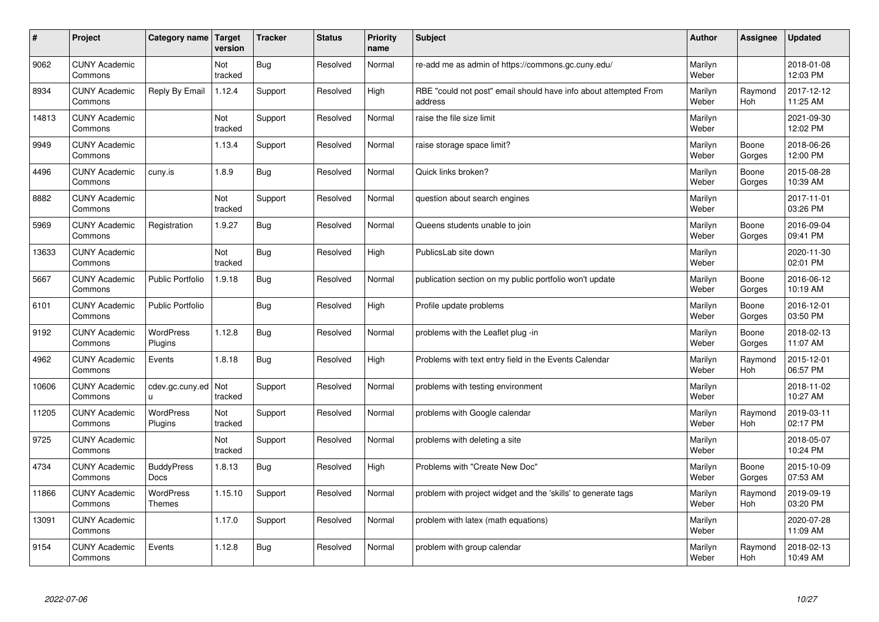| $\sharp$ | Project                         | Category name   Target    | version        | <b>Tracker</b> | <b>Status</b> | <b>Priority</b><br>name | <b>Subject</b>                                                              | <b>Author</b>    | Assignee              | <b>Updated</b>         |
|----------|---------------------------------|---------------------------|----------------|----------------|---------------|-------------------------|-----------------------------------------------------------------------------|------------------|-----------------------|------------------------|
| 9062     | <b>CUNY Academic</b><br>Commons |                           | Not<br>tracked | Bug            | Resolved      | Normal                  | re-add me as admin of https://commons.gc.cuny.edu/                          | Marilyn<br>Weber |                       | 2018-01-08<br>12:03 PM |
| 8934     | <b>CUNY Academic</b><br>Commons | Reply By Email            | 1.12.4         | Support        | Resolved      | High                    | RBE "could not post" email should have info about attempted From<br>address | Marilyn<br>Weber | Raymond<br>Hoh        | 2017-12-12<br>11:25 AM |
| 14813    | <b>CUNY Academic</b><br>Commons |                           | Not<br>tracked | Support        | Resolved      | Normal                  | raise the file size limit                                                   | Marilyn<br>Weber |                       | 2021-09-30<br>12:02 PM |
| 9949     | <b>CUNY Academic</b><br>Commons |                           | 1.13.4         | Support        | Resolved      | Normal                  | raise storage space limit?                                                  | Marilyn<br>Weber | Boone<br>Gorges       | 2018-06-26<br>12:00 PM |
| 4496     | <b>CUNY Academic</b><br>Commons | cuny.is                   | 1.8.9          | Bug            | Resolved      | Normal                  | Quick links broken?                                                         | Marilyn<br>Weber | Boone<br>Gorges       | 2015-08-28<br>10:39 AM |
| 8882     | <b>CUNY Academic</b><br>Commons |                           | Not<br>tracked | Support        | Resolved      | Normal                  | question about search engines                                               | Marilyn<br>Weber |                       | 2017-11-01<br>03:26 PM |
| 5969     | <b>CUNY Academic</b><br>Commons | Registration              | 1.9.27         | <b>Bug</b>     | Resolved      | Normal                  | Queens students unable to join                                              | Marilyn<br>Weber | Boone<br>Gorges       | 2016-09-04<br>09:41 PM |
| 13633    | <b>CUNY Academic</b><br>Commons |                           | Not<br>tracked | Bug            | Resolved      | High                    | PublicsLab site down                                                        | Marilyn<br>Weber |                       | 2020-11-30<br>02:01 PM |
| 5667     | <b>CUNY Academic</b><br>Commons | <b>Public Portfolio</b>   | 1.9.18         | Bug            | Resolved      | Normal                  | publication section on my public portfolio won't update                     | Marilyn<br>Weber | Boone<br>Gorges       | 2016-06-12<br>10:19 AM |
| 6101     | <b>CUNY Academic</b><br>Commons | <b>Public Portfolio</b>   |                | <b>Bug</b>     | Resolved      | High                    | Profile update problems                                                     | Marilyn<br>Weber | Boone<br>Gorges       | 2016-12-01<br>03:50 PM |
| 9192     | <b>CUNY Academic</b><br>Commons | WordPress<br>Plugins      | 1.12.8         | <b>Bug</b>     | Resolved      | Normal                  | problems with the Leaflet plug -in                                          | Marilyn<br>Weber | Boone<br>Gorges       | 2018-02-13<br>11:07 AM |
| 4962     | <b>CUNY Academic</b><br>Commons | Events                    | 1.8.18         | Bug            | Resolved      | High                    | Problems with text entry field in the Events Calendar                       | Marilyn<br>Weber | Raymond<br>Hoh        | 2015-12-01<br>06:57 PM |
| 10606    | <b>CUNY Academic</b><br>Commons | cdev.gc.cuny.ed<br>u.     | Not<br>tracked | Support        | Resolved      | Normal                  | problems with testing environment                                           | Marilyn<br>Weber |                       | 2018-11-02<br>10:27 AM |
| 11205    | <b>CUNY Academic</b><br>Commons | WordPress<br>Plugins      | Not<br>tracked | Support        | Resolved      | Normal                  | problems with Google calendar                                               | Marilyn<br>Weber | Raymond<br><b>Hoh</b> | 2019-03-11<br>02:17 PM |
| 9725     | <b>CUNY Academic</b><br>Commons |                           | Not<br>tracked | Support        | Resolved      | Normal                  | problems with deleting a site                                               | Marilyn<br>Weber |                       | 2018-05-07<br>10:24 PM |
| 4734     | <b>CUNY Academic</b><br>Commons | <b>BuddyPress</b><br>Docs | 1.8.13         | Bug            | Resolved      | High                    | Problems with "Create New Doc"                                              | Marilyn<br>Weber | Boone<br>Gorges       | 2015-10-09<br>07:53 AM |
| 11866    | <b>CUNY Academic</b><br>Commons | WordPress<br>Themes       | 1.15.10        | Support        | Resolved      | Normal                  | problem with project widget and the 'skills' to generate tags               | Marilyn<br>Weber | Raymond<br><b>Hoh</b> | 2019-09-19<br>03:20 PM |
| 13091    | <b>CUNY Academic</b><br>Commons |                           | 1.17.0         | Support        | Resolved      | Normal                  | problem with latex (math equations)                                         | Marilyn<br>Weber |                       | 2020-07-28<br>11:09 AM |
| 9154     | <b>CUNY Academic</b><br>Commons | Events                    | 1.12.8         | Bug            | Resolved      | Normal                  | problem with group calendar                                                 | Marilyn<br>Weber | Raymond<br>Hoh        | 2018-02-13<br>10:49 AM |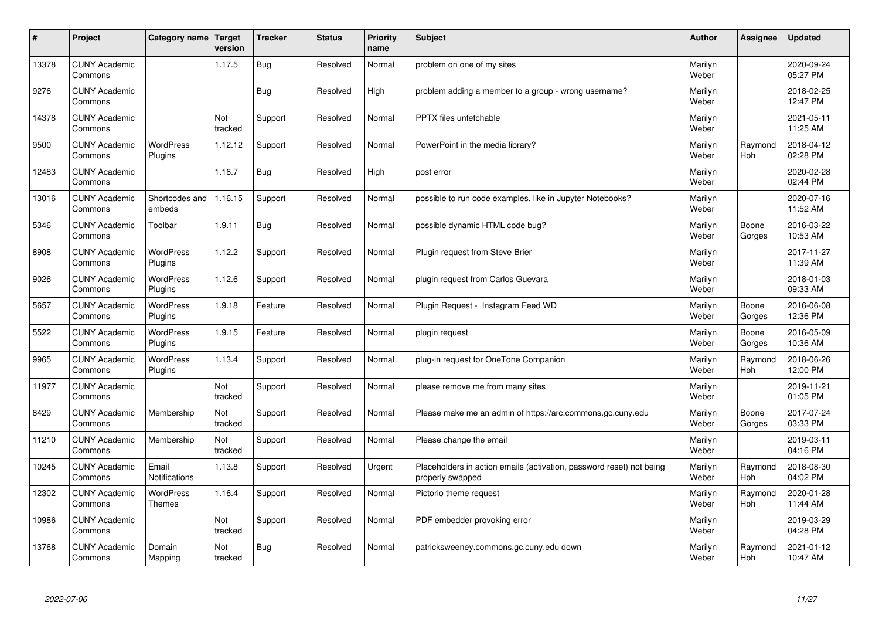| #     | Project                         | Category name   Target      | version        | <b>Tracker</b> | <b>Status</b> | <b>Priority</b><br>name | <b>Subject</b>                                                                           | <b>Author</b>    | Assignee              | <b>Updated</b>         |
|-------|---------------------------------|-----------------------------|----------------|----------------|---------------|-------------------------|------------------------------------------------------------------------------------------|------------------|-----------------------|------------------------|
| 13378 | <b>CUNY Academic</b><br>Commons |                             | 1.17.5         | Bug            | Resolved      | Normal                  | problem on one of my sites                                                               | Marilyn<br>Weber |                       | 2020-09-24<br>05:27 PM |
| 9276  | <b>CUNY Academic</b><br>Commons |                             |                | Bug            | Resolved      | High                    | problem adding a member to a group - wrong username?                                     | Marilyn<br>Weber |                       | 2018-02-25<br>12:47 PM |
| 14378 | <b>CUNY Academic</b><br>Commons |                             | Not<br>tracked | Support        | Resolved      | Normal                  | <b>PPTX</b> files unfetchable                                                            | Marilyn<br>Weber |                       | 2021-05-11<br>11:25 AM |
| 9500  | <b>CUNY Academic</b><br>Commons | <b>WordPress</b><br>Plugins | 1.12.12        | Support        | Resolved      | Normal                  | PowerPoint in the media library?                                                         | Marilyn<br>Weber | Raymond<br>Hoh        | 2018-04-12<br>02:28 PM |
| 12483 | <b>CUNY Academic</b><br>Commons |                             | 1.16.7         | <b>Bug</b>     | Resolved      | High                    | post error                                                                               | Marilyn<br>Weber |                       | 2020-02-28<br>02:44 PM |
| 13016 | <b>CUNY Academic</b><br>Commons | Shortcodes and<br>embeds    | 1.16.15        | Support        | Resolved      | Normal                  | possible to run code examples, like in Jupyter Notebooks?                                | Marilyn<br>Weber |                       | 2020-07-16<br>11:52 AM |
| 5346  | <b>CUNY Academic</b><br>Commons | Toolbar                     | 1.9.11         | Bug            | Resolved      | Normal                  | possible dynamic HTML code bug?                                                          | Marilyn<br>Weber | Boone<br>Gorges       | 2016-03-22<br>10:53 AM |
| 8908  | <b>CUNY Academic</b><br>Commons | WordPress<br>Plugins        | 1.12.2         | Support        | Resolved      | Normal                  | Plugin request from Steve Brier                                                          | Marilyn<br>Weber |                       | 2017-11-27<br>11:39 AM |
| 9026  | <b>CUNY Academic</b><br>Commons | WordPress<br>Plugins        | 1.12.6         | Support        | Resolved      | Normal                  | plugin request from Carlos Guevara                                                       | Marilyn<br>Weber |                       | 2018-01-03<br>09:33 AM |
| 5657  | <b>CUNY Academic</b><br>Commons | WordPress<br>Plugins        | 1.9.18         | Feature        | Resolved      | Normal                  | Plugin Reguest - Instagram Feed WD                                                       | Marilyn<br>Weber | Boone<br>Gorges       | 2016-06-08<br>12:36 PM |
| 5522  | <b>CUNY Academic</b><br>Commons | <b>WordPress</b><br>Plugins | 1.9.15         | Feature        | Resolved      | Normal                  | plugin request                                                                           | Marilyn<br>Weber | Boone<br>Gorges       | 2016-05-09<br>10:36 AM |
| 9965  | <b>CUNY Academic</b><br>Commons | <b>WordPress</b><br>Plugins | 1.13.4         | Support        | Resolved      | Normal                  | plug-in request for OneTone Companion                                                    | Marilyn<br>Weber | Raymond<br><b>Hoh</b> | 2018-06-26<br>12:00 PM |
| 11977 | <b>CUNY Academic</b><br>Commons |                             | Not<br>tracked | Support        | Resolved      | Normal                  | please remove me from many sites                                                         | Marilyn<br>Weber |                       | 2019-11-21<br>01:05 PM |
| 8429  | <b>CUNY Academic</b><br>Commons | Membership                  | Not<br>tracked | Support        | Resolved      | Normal                  | Please make me an admin of https://arc.commons.gc.cuny.edu                               | Marilyn<br>Weber | Boone<br>Gorges       | 2017-07-24<br>03:33 PM |
| 11210 | <b>CUNY Academic</b><br>Commons | Membership                  | Not<br>tracked | Support        | Resolved      | Normal                  | Please change the email                                                                  | Marilyn<br>Weber |                       | 2019-03-11<br>04:16 PM |
| 10245 | <b>CUNY Academic</b><br>Commons | Email<br>Notifications      | 1.13.8         | Support        | Resolved      | Urgent                  | Placeholders in action emails (activation, password reset) not being<br>properly swapped | Marilyn<br>Weber | Raymond<br>Hoh        | 2018-08-30<br>04:02 PM |
| 12302 | <b>CUNY Academic</b><br>Commons | WordPress<br>Themes         | 1.16.4         | Support        | Resolved      | Normal                  | Pictorio theme request                                                                   | Marilyn<br>Weber | Raymond<br>Hoh        | 2020-01-28<br>11:44 AM |
| 10986 | <b>CUNY Academic</b><br>Commons |                             | Not<br>tracked | Support        | Resolved      | Normal                  | PDF embedder provoking error                                                             | Marilyn<br>Weber |                       | 2019-03-29<br>04:28 PM |
| 13768 | <b>CUNY Academic</b><br>Commons | Domain<br>Mapping           | Not<br>tracked | Bug            | Resolved      | Normal                  | patricksweeney.commons.gc.cuny.edu down                                                  | Marilyn<br>Weber | Raymond<br>Hoh        | 2021-01-12<br>10:47 AM |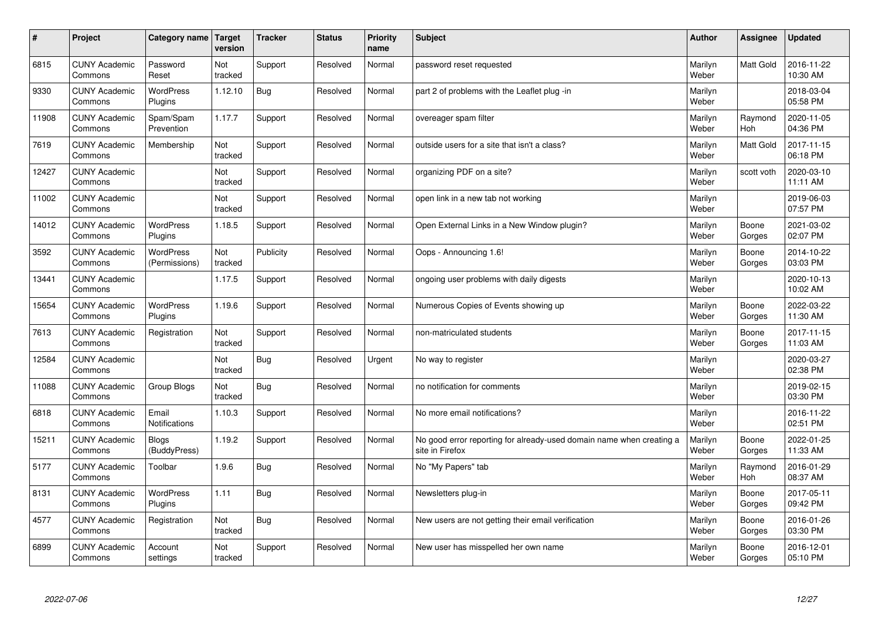| #     | Project                         | Category name   Target            | version        | <b>Tracker</b> | <b>Status</b> | Priority<br>name | <b>Subject</b>                                                                          | <b>Author</b>    | <b>Assignee</b>       | <b>Updated</b>         |
|-------|---------------------------------|-----------------------------------|----------------|----------------|---------------|------------------|-----------------------------------------------------------------------------------------|------------------|-----------------------|------------------------|
| 6815  | <b>CUNY Academic</b><br>Commons | Password<br>Reset                 | Not<br>tracked | Support        | Resolved      | Normal           | password reset requested                                                                | Marilyn<br>Weber | <b>Matt Gold</b>      | 2016-11-22<br>10:30 AM |
| 9330  | <b>CUNY Academic</b><br>Commons | <b>WordPress</b><br>Plugins       | 1.12.10        | Bug            | Resolved      | Normal           | part 2 of problems with the Leaflet plug -in                                            | Marilyn<br>Weber |                       | 2018-03-04<br>05:58 PM |
| 11908 | <b>CUNY Academic</b><br>Commons | Spam/Spam<br>Prevention           | 1.17.7         | Support        | Resolved      | Normal           | overeager spam filter                                                                   | Marilyn<br>Weber | Raymond<br>Hoh        | 2020-11-05<br>04:36 PM |
| 7619  | <b>CUNY Academic</b><br>Commons | Membership                        | Not<br>tracked | Support        | Resolved      | Normal           | outside users for a site that isn't a class?                                            | Marilyn<br>Weber | Matt Gold             | 2017-11-15<br>06:18 PM |
| 12427 | <b>CUNY Academic</b><br>Commons |                                   | Not<br>tracked | Support        | Resolved      | Normal           | organizing PDF on a site?                                                               | Marilyn<br>Weber | scott voth            | 2020-03-10<br>11:11 AM |
| 11002 | <b>CUNY Academic</b><br>Commons |                                   | Not<br>tracked | Support        | Resolved      | Normal           | open link in a new tab not working                                                      | Marilyn<br>Weber |                       | 2019-06-03<br>07:57 PM |
| 14012 | <b>CUNY Academic</b><br>Commons | <b>WordPress</b><br>Plugins       | 1.18.5         | Support        | Resolved      | Normal           | Open External Links in a New Window plugin?                                             | Marilyn<br>Weber | Boone<br>Gorges       | 2021-03-02<br>02:07 PM |
| 3592  | <b>CUNY Academic</b><br>Commons | <b>WordPress</b><br>(Permissions) | Not<br>tracked | Publicity      | Resolved      | Normal           | Oops - Announcing 1.6!                                                                  | Marilyn<br>Weber | Boone<br>Gorges       | 2014-10-22<br>03:03 PM |
| 13441 | <b>CUNY Academic</b><br>Commons |                                   | 1.17.5         | Support        | Resolved      | Normal           | ongoing user problems with daily digests                                                | Marilyn<br>Weber |                       | 2020-10-13<br>10:02 AM |
| 15654 | <b>CUNY Academic</b><br>Commons | <b>WordPress</b><br>Plugins       | 1.19.6         | Support        | Resolved      | Normal           | Numerous Copies of Events showing up                                                    | Marilyn<br>Weber | Boone<br>Gorges       | 2022-03-22<br>11:30 AM |
| 7613  | <b>CUNY Academic</b><br>Commons | Registration                      | Not<br>tracked | Support        | Resolved      | Normal           | non-matriculated students                                                               | Marilyn<br>Weber | Boone<br>Gorges       | 2017-11-15<br>11:03 AM |
| 12584 | <b>CUNY Academic</b><br>Commons |                                   | Not<br>tracked | Bug            | Resolved      | Urgent           | No way to register                                                                      | Marilyn<br>Weber |                       | 2020-03-27<br>02:38 PM |
| 11088 | <b>CUNY Academic</b><br>Commons | Group Blogs                       | Not<br>tracked | Bug            | Resolved      | Normal           | no notification for comments                                                            | Marilyn<br>Weber |                       | 2019-02-15<br>03:30 PM |
| 6818  | <b>CUNY Academic</b><br>Commons | Email<br><b>Notifications</b>     | 1.10.3         | Support        | Resolved      | Normal           | No more email notifications?                                                            | Marilyn<br>Weber |                       | 2016-11-22<br>02:51 PM |
| 15211 | <b>CUNY Academic</b><br>Commons | <b>Blogs</b><br>(BuddyPress)      | 1.19.2         | Support        | Resolved      | Normal           | No good error reporting for already-used domain name when creating a<br>site in Firefox | Marilyn<br>Weber | Boone<br>Gorges       | 2022-01-25<br>11:33 AM |
| 5177  | <b>CUNY Academic</b><br>Commons | Toolbar                           | 1.9.6          | Bug            | Resolved      | Normal           | No "My Papers" tab                                                                      | Marilyn<br>Weber | Raymond<br><b>Hoh</b> | 2016-01-29<br>08:37 AM |
| 8131  | <b>CUNY Academic</b><br>Commons | WordPress<br>Plugins              | 1.11           | Bug            | Resolved      | Normal           | Newsletters plug-in                                                                     | Marilyn<br>Weber | Boone<br>Gorges       | 2017-05-11<br>09:42 PM |
| 4577  | <b>CUNY Academic</b><br>Commons | Registration                      | Not<br>tracked | Bug            | Resolved      | Normal           | New users are not getting their email verification                                      | Marilyn<br>Weber | Boone<br>Gorges       | 2016-01-26<br>03:30 PM |
| 6899  | <b>CUNY Academic</b><br>Commons | Account<br>settings               | Not<br>tracked | Support        | Resolved      | Normal           | New user has misspelled her own name                                                    | Marilyn<br>Weber | Boone<br>Gorges       | 2016-12-01<br>05:10 PM |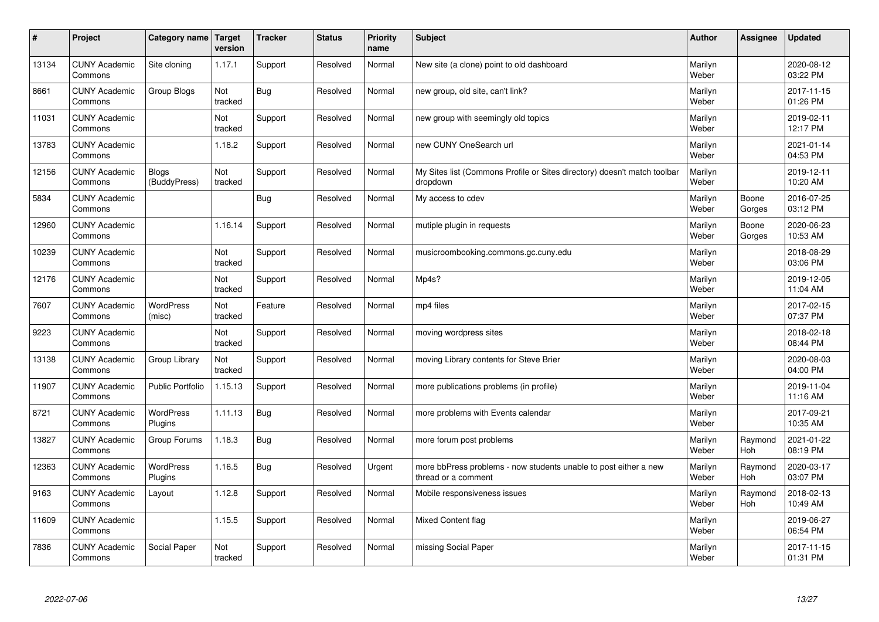| $\sharp$ | Project                         | Category name   Target       | version        | <b>Tracker</b> | <b>Status</b> | <b>Priority</b><br>name | <b>Subject</b>                                                                          | <b>Author</b>    | Assignee              | <b>Updated</b>         |
|----------|---------------------------------|------------------------------|----------------|----------------|---------------|-------------------------|-----------------------------------------------------------------------------------------|------------------|-----------------------|------------------------|
| 13134    | <b>CUNY Academic</b><br>Commons | Site cloning                 | 1.17.1         | Support        | Resolved      | Normal                  | New site (a clone) point to old dashboard                                               | Marilyn<br>Weber |                       | 2020-08-12<br>03:22 PM |
| 8661     | <b>CUNY Academic</b><br>Commons | Group Blogs                  | Not<br>tracked | Bug            | Resolved      | Normal                  | new group, old site, can't link?                                                        | Marilyn<br>Weber |                       | 2017-11-15<br>01:26 PM |
| 11031    | <b>CUNY Academic</b><br>Commons |                              | Not<br>tracked | Support        | Resolved      | Normal                  | new group with seemingly old topics                                                     | Marilyn<br>Weber |                       | 2019-02-11<br>12:17 PM |
| 13783    | <b>CUNY Academic</b><br>Commons |                              | 1.18.2         | Support        | Resolved      | Normal                  | new CUNY OneSearch url                                                                  | Marilyn<br>Weber |                       | 2021-01-14<br>04:53 PM |
| 12156    | <b>CUNY Academic</b><br>Commons | <b>Blogs</b><br>(BuddyPress) | Not<br>tracked | Support        | Resolved      | Normal                  | My Sites list (Commons Profile or Sites directory) doesn't match toolbar<br>dropdown    | Marilyn<br>Weber |                       | 2019-12-11<br>10:20 AM |
| 5834     | <b>CUNY Academic</b><br>Commons |                              |                | Bug            | Resolved      | Normal                  | My access to cdev                                                                       | Marilyn<br>Weber | Boone<br>Gorges       | 2016-07-25<br>03:12 PM |
| 12960    | <b>CUNY Academic</b><br>Commons |                              | 1.16.14        | Support        | Resolved      | Normal                  | mutiple plugin in requests                                                              | Marilyn<br>Weber | Boone<br>Gorges       | 2020-06-23<br>10:53 AM |
| 10239    | <b>CUNY Academic</b><br>Commons |                              | Not<br>tracked | Support        | Resolved      | Normal                  | musicroombooking.commons.gc.cuny.edu                                                    | Marilyn<br>Weber |                       | 2018-08-29<br>03:06 PM |
| 12176    | <b>CUNY Academic</b><br>Commons |                              | Not<br>tracked | Support        | Resolved      | Normal                  | Mp4s?                                                                                   | Marilyn<br>Weber |                       | 2019-12-05<br>11:04 AM |
| 7607     | <b>CUNY Academic</b><br>Commons | <b>WordPress</b><br>(misc)   | Not<br>tracked | Feature        | Resolved      | Normal                  | mp4 files                                                                               | Marilyn<br>Weber |                       | 2017-02-15<br>07:37 PM |
| 9223     | <b>CUNY Academic</b><br>Commons |                              | Not<br>tracked | Support        | Resolved      | Normal                  | moving wordpress sites                                                                  | Marilyn<br>Weber |                       | 2018-02-18<br>08:44 PM |
| 13138    | <b>CUNY Academic</b><br>Commons | Group Library                | Not<br>tracked | Support        | Resolved      | Normal                  | moving Library contents for Steve Brier                                                 | Marilyn<br>Weber |                       | 2020-08-03<br>04:00 PM |
| 11907    | <b>CUNY Academic</b><br>Commons | <b>Public Portfolio</b>      | 1.15.13        | Support        | Resolved      | Normal                  | more publications problems (in profile)                                                 | Marilyn<br>Weber |                       | 2019-11-04<br>11:16 AM |
| 8721     | <b>CUNY Academic</b><br>Commons | WordPress<br>Plugins         | 1.11.13        | Bug            | Resolved      | Normal                  | more problems with Events calendar                                                      | Marilyn<br>Weber |                       | 2017-09-21<br>10:35 AM |
| 13827    | <b>CUNY Academic</b><br>Commons | Group Forums                 | 1.18.3         | Bug            | Resolved      | Normal                  | more forum post problems                                                                | Marilyn<br>Weber | Raymond<br><b>Hoh</b> | 2021-01-22<br>08:19 PM |
| 12363    | <b>CUNY Academic</b><br>Commons | <b>WordPress</b><br>Plugins  | 1.16.5         | Bug            | Resolved      | Urgent                  | more bbPress problems - now students unable to post either a new<br>thread or a comment | Marilyn<br>Weber | Raymond<br><b>Hoh</b> | 2020-03-17<br>03:07 PM |
| 9163     | <b>CUNY Academic</b><br>Commons | Layout                       | 1.12.8         | Support        | Resolved      | Normal                  | Mobile responsiveness issues                                                            | Marilyn<br>Weber | Raymond<br><b>Hoh</b> | 2018-02-13<br>10:49 AM |
| 11609    | <b>CUNY Academic</b><br>Commons |                              | 1.15.5         | Support        | Resolved      | Normal                  | Mixed Content flag                                                                      | Marilyn<br>Weber |                       | 2019-06-27<br>06:54 PM |
| 7836     | <b>CUNY Academic</b><br>Commons | Social Paper                 | Not<br>tracked | Support        | Resolved      | Normal                  | missing Social Paper                                                                    | Marilyn<br>Weber |                       | 2017-11-15<br>01:31 PM |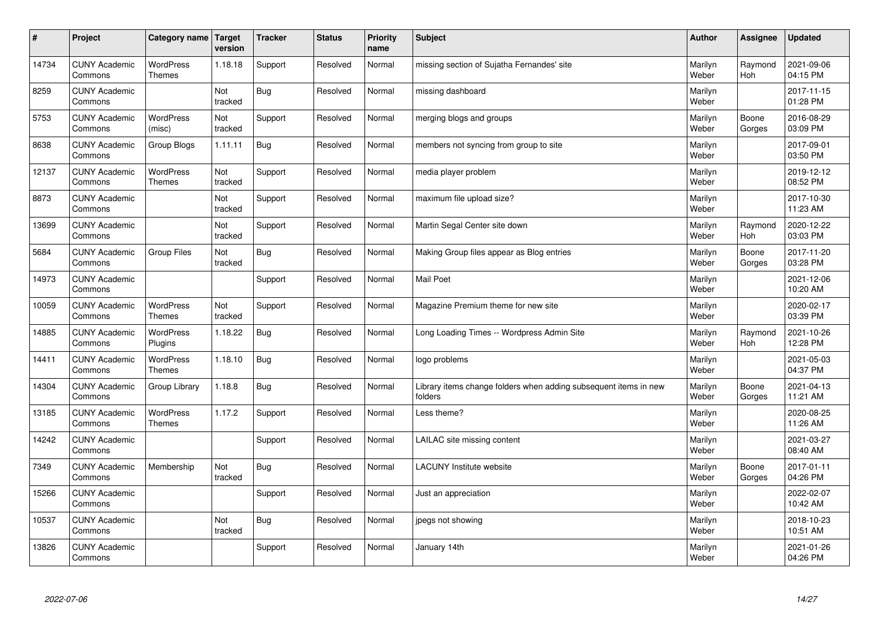| $\sharp$ | Project                         | Category name   Target            | version        | <b>Tracker</b> | <b>Status</b> | <b>Priority</b><br>name | <b>Subject</b>                                                              | <b>Author</b>    | Assignee              | <b>Updated</b>         |
|----------|---------------------------------|-----------------------------------|----------------|----------------|---------------|-------------------------|-----------------------------------------------------------------------------|------------------|-----------------------|------------------------|
| 14734    | <b>CUNY Academic</b><br>Commons | <b>WordPress</b><br><b>Themes</b> | 1.18.18        | Support        | Resolved      | Normal                  | missing section of Sujatha Fernandes' site                                  | Marilyn<br>Weber | Raymond<br><b>Hoh</b> | 2021-09-06<br>04:15 PM |
| 8259     | <b>CUNY Academic</b><br>Commons |                                   | Not<br>tracked | Bug            | Resolved      | Normal                  | missing dashboard                                                           | Marilyn<br>Weber |                       | 2017-11-15<br>01:28 PM |
| 5753     | <b>CUNY Academic</b><br>Commons | <b>WordPress</b><br>(misc)        | Not<br>tracked | Support        | Resolved      | Normal                  | merging blogs and groups                                                    | Marilyn<br>Weber | Boone<br>Gorges       | 2016-08-29<br>03:09 PM |
| 8638     | <b>CUNY Academic</b><br>Commons | Group Blogs                       | 1.11.11        | Bug            | Resolved      | Normal                  | members not syncing from group to site                                      | Marilyn<br>Weber |                       | 2017-09-01<br>03:50 PM |
| 12137    | <b>CUNY Academic</b><br>Commons | <b>WordPress</b><br><b>Themes</b> | Not<br>tracked | Support        | Resolved      | Normal                  | media player problem                                                        | Marilyn<br>Weber |                       | 2019-12-12<br>08:52 PM |
| 8873     | <b>CUNY Academic</b><br>Commons |                                   | Not<br>tracked | Support        | Resolved      | Normal                  | maximum file upload size?                                                   | Marilyn<br>Weber |                       | 2017-10-30<br>11:23 AM |
| 13699    | <b>CUNY Academic</b><br>Commons |                                   | Not<br>tracked | Support        | Resolved      | Normal                  | Martin Segal Center site down                                               | Marilyn<br>Weber | Raymond<br>Hoh        | 2020-12-22<br>03:03 PM |
| 5684     | <b>CUNY Academic</b><br>Commons | Group Files                       | Not<br>tracked | Bug            | Resolved      | Normal                  | Making Group files appear as Blog entries                                   | Marilyn<br>Weber | Boone<br>Gorges       | 2017-11-20<br>03:28 PM |
| 14973    | <b>CUNY Academic</b><br>Commons |                                   |                | Support        | Resolved      | Normal                  | Mail Poet                                                                   | Marilyn<br>Weber |                       | 2021-12-06<br>10:20 AM |
| 10059    | <b>CUNY Academic</b><br>Commons | <b>WordPress</b><br><b>Themes</b> | Not<br>tracked | Support        | Resolved      | Normal                  | Magazine Premium theme for new site                                         | Marilyn<br>Weber |                       | 2020-02-17<br>03:39 PM |
| 14885    | <b>CUNY Academic</b><br>Commons | <b>WordPress</b><br>Plugins       | 1.18.22        | Bug            | Resolved      | Normal                  | Long Loading Times -- Wordpress Admin Site                                  | Marilyn<br>Weber | Raymond<br><b>Hoh</b> | 2021-10-26<br>12:28 PM |
| 14411    | <b>CUNY Academic</b><br>Commons | <b>WordPress</b><br><b>Themes</b> | 1.18.10        | Bug            | Resolved      | Normal                  | logo problems                                                               | Marilyn<br>Weber |                       | 2021-05-03<br>04:37 PM |
| 14304    | <b>CUNY Academic</b><br>Commons | Group Library                     | 1.18.8         | Bug            | Resolved      | Normal                  | Library items change folders when adding subsequent items in new<br>folders | Marilyn<br>Weber | Boone<br>Gorges       | 2021-04-13<br>11:21 AM |
| 13185    | <b>CUNY Academic</b><br>Commons | <b>WordPress</b><br><b>Themes</b> | 1.17.2         | Support        | Resolved      | Normal                  | Less theme?                                                                 | Marilyn<br>Weber |                       | 2020-08-25<br>11:26 AM |
| 14242    | <b>CUNY Academic</b><br>Commons |                                   |                | Support        | Resolved      | Normal                  | LAILAC site missing content                                                 | Marilyn<br>Weber |                       | 2021-03-27<br>08:40 AM |
| 7349     | <b>CUNY Academic</b><br>Commons | Membership                        | Not<br>tracked | Bug            | Resolved      | Normal                  | <b>LACUNY</b> Institute website                                             | Marilyn<br>Weber | Boone<br>Gorges       | 2017-01-11<br>04:26 PM |
| 15266    | <b>CUNY Academic</b><br>Commons |                                   |                | Support        | Resolved      | Normal                  | Just an appreciation                                                        | Marilyn<br>Weber |                       | 2022-02-07<br>10:42 AM |
| 10537    | <b>CUNY Academic</b><br>Commons |                                   | Not<br>tracked | <b>Bug</b>     | Resolved      | Normal                  | jpegs not showing                                                           | Marilyn<br>Weber |                       | 2018-10-23<br>10:51 AM |
| 13826    | <b>CUNY Academic</b><br>Commons |                                   |                | Support        | Resolved      | Normal                  | January 14th                                                                | Marilyn<br>Weber |                       | 2021-01-26<br>04:26 PM |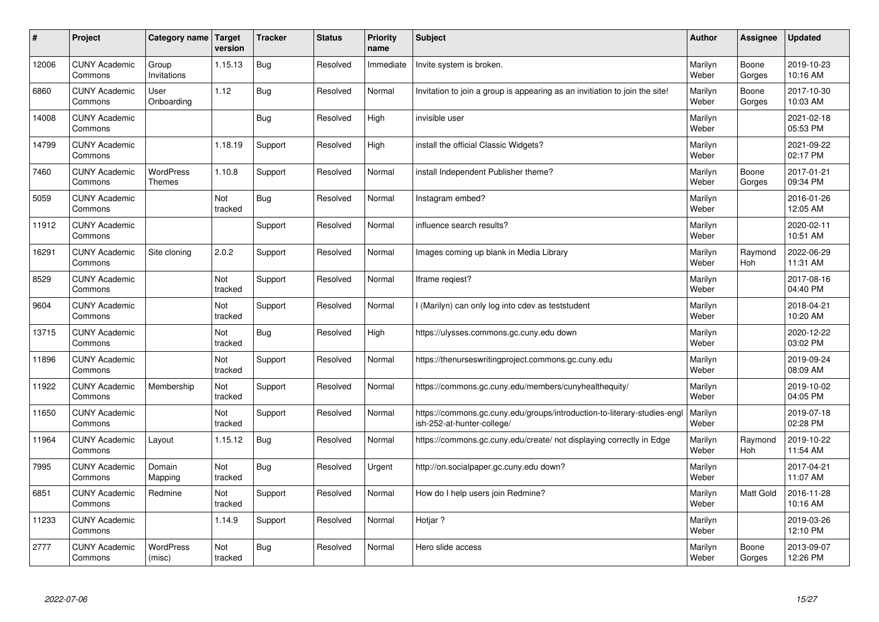| #     | Project                         | Category name                     | Target<br>version | <b>Tracker</b> | <b>Status</b> | <b>Priority</b><br>name | <b>Subject</b>                                                                                        | <b>Author</b>    | Assignee              | <b>Updated</b>         |
|-------|---------------------------------|-----------------------------------|-------------------|----------------|---------------|-------------------------|-------------------------------------------------------------------------------------------------------|------------------|-----------------------|------------------------|
| 12006 | <b>CUNY Academic</b><br>Commons | Group<br>Invitations              | 1.15.13           | Bug            | Resolved      | Immediate               | Invite system is broken.                                                                              | Marilyn<br>Weber | Boone<br>Gorges       | 2019-10-23<br>10:16 AM |
| 6860  | <b>CUNY Academic</b><br>Commons | User<br>Onboarding                | 1.12              | Bug            | Resolved      | Normal                  | Invitation to join a group is appearing as an invitiation to join the site!                           | Marilyn<br>Weber | Boone<br>Gorges       | 2017-10-30<br>10:03 AM |
| 14008 | <b>CUNY Academic</b><br>Commons |                                   |                   | Bug            | Resolved      | High                    | invisible user                                                                                        | Marilyn<br>Weber |                       | 2021-02-18<br>05:53 PM |
| 14799 | <b>CUNY Academic</b><br>Commons |                                   | 1.18.19           | Support        | Resolved      | High                    | install the official Classic Widgets?                                                                 | Marilyn<br>Weber |                       | 2021-09-22<br>02:17 PM |
| 7460  | <b>CUNY Academic</b><br>Commons | <b>WordPress</b><br><b>Themes</b> | 1.10.8            | Support        | Resolved      | Normal                  | install Independent Publisher theme?                                                                  | Marilyn<br>Weber | Boone<br>Gorges       | 2017-01-21<br>09:34 PM |
| 5059  | <b>CUNY Academic</b><br>Commons |                                   | Not<br>tracked    | Bug            | Resolved      | Normal                  | Instagram embed?                                                                                      | Marilyn<br>Weber |                       | 2016-01-26<br>12:05 AM |
| 11912 | <b>CUNY Academic</b><br>Commons |                                   |                   | Support        | Resolved      | Normal                  | influence search results?                                                                             | Marilyn<br>Weber |                       | 2020-02-11<br>10:51 AM |
| 16291 | <b>CUNY Academic</b><br>Commons | Site cloning                      | 2.0.2             | Support        | Resolved      | Normal                  | Images coming up blank in Media Library                                                               | Marilyn<br>Weber | Raymond<br>Hoh        | 2022-06-29<br>11:31 AM |
| 8529  | <b>CUNY Academic</b><br>Commons |                                   | Not<br>tracked    | Support        | Resolved      | Normal                  | Iframe regiest?                                                                                       | Marilyn<br>Weber |                       | 2017-08-16<br>04:40 PM |
| 9604  | <b>CUNY Academic</b><br>Commons |                                   | Not<br>tracked    | Support        | Resolved      | Normal                  | (Marilyn) can only log into cdev as teststudent                                                       | Marilyn<br>Weber |                       | 2018-04-21<br>10:20 AM |
| 13715 | <b>CUNY Academic</b><br>Commons |                                   | Not<br>tracked    | Bug            | Resolved      | High                    | https://ulysses.commons.gc.cuny.edu down                                                              | Marilyn<br>Weber |                       | 2020-12-22<br>03:02 PM |
| 11896 | <b>CUNY Academic</b><br>Commons |                                   | Not<br>tracked    | Support        | Resolved      | Normal                  | https://thenurseswritingproject.commons.gc.cuny.edu                                                   | Marilyn<br>Weber |                       | 2019-09-24<br>08:09 AM |
| 11922 | <b>CUNY Academic</b><br>Commons | Membership                        | Not<br>tracked    | Support        | Resolved      | Normal                  | https://commons.gc.cuny.edu/members/cunyhealthequity/                                                 | Marilyn<br>Weber |                       | 2019-10-02<br>04:05 PM |
| 11650 | <b>CUNY Academic</b><br>Commons |                                   | Not<br>tracked    | Support        | Resolved      | Normal                  | https://commons.gc.cuny.edu/groups/introduction-to-literary-studies-eng<br>ish-252-at-hunter-college/ | Marilyn<br>Weber |                       | 2019-07-18<br>02:28 PM |
| 11964 | <b>CUNY Academic</b><br>Commons | Layout                            | 1.15.12           | Bug            | Resolved      | Normal                  | https://commons.gc.cuny.edu/create/ not displaying correctly in Edge                                  | Marilyn<br>Weber | Raymond<br><b>Hoh</b> | 2019-10-22<br>11:54 AM |
| 7995  | <b>CUNY Academic</b><br>Commons | Domain<br>Mapping                 | Not<br>tracked    | Bug            | Resolved      | Urgent                  | http://on.socialpaper.gc.cuny.edu down?                                                               | Marilyn<br>Weber |                       | 2017-04-21<br>11:07 AM |
| 6851  | <b>CUNY Academic</b><br>Commons | Redmine                           | Not<br>tracked    | Support        | Resolved      | Normal                  | How do I help users join Redmine?                                                                     | Marilyn<br>Weber | <b>Matt Gold</b>      | 2016-11-28<br>10:16 AM |
| 11233 | <b>CUNY Academic</b><br>Commons |                                   | 1.14.9            | Support        | Resolved      | Normal                  | Hotjar?                                                                                               | Marilyn<br>Weber |                       | 2019-03-26<br>12:10 PM |
| 2777  | <b>CUNY Academic</b><br>Commons | <b>WordPress</b><br>(misc)        | Not<br>tracked    | Bug            | Resolved      | Normal                  | Hero slide access                                                                                     | Marilyn<br>Weber | Boone<br>Gorges       | 2013-09-07<br>12:26 PM |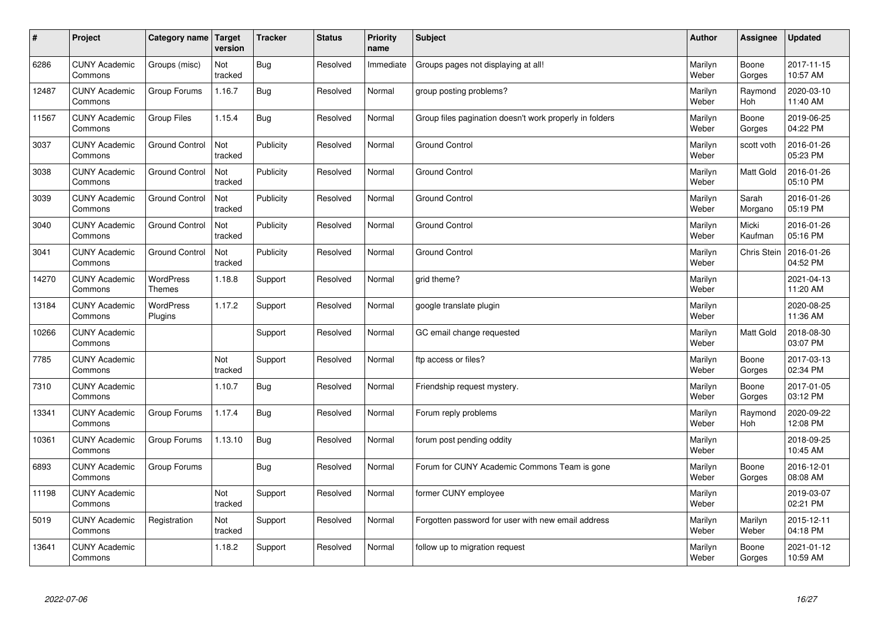| $\sharp$ | Project                         | Category name   Target            | version        | <b>Tracker</b> | <b>Status</b> | <b>Priority</b><br>name | <b>Subject</b>                                          | <b>Author</b>    | Assignee              | <b>Updated</b>         |
|----------|---------------------------------|-----------------------------------|----------------|----------------|---------------|-------------------------|---------------------------------------------------------|------------------|-----------------------|------------------------|
| 6286     | <b>CUNY Academic</b><br>Commons | Groups (misc)                     | Not<br>tracked | Bug            | Resolved      | Immediate               | Groups pages not displaying at all!                     | Marilyn<br>Weber | Boone<br>Gorges       | 2017-11-15<br>10:57 AM |
| 12487    | <b>CUNY Academic</b><br>Commons | Group Forums                      | 1.16.7         | Bug            | Resolved      | Normal                  | group posting problems?                                 | Marilyn<br>Weber | Raymond<br><b>Hoh</b> | 2020-03-10<br>11:40 AM |
| 11567    | <b>CUNY Academic</b><br>Commons | Group Files                       | 1.15.4         | Bug            | Resolved      | Normal                  | Group files pagination doesn't work properly in folders | Marilyn<br>Weber | Boone<br>Gorges       | 2019-06-25<br>04:22 PM |
| 3037     | <b>CUNY Academic</b><br>Commons | <b>Ground Control</b>             | Not<br>tracked | Publicity      | Resolved      | Normal                  | <b>Ground Control</b>                                   | Marilyn<br>Weber | scott voth            | 2016-01-26<br>05:23 PM |
| 3038     | <b>CUNY Academic</b><br>Commons | <b>Ground Control</b>             | Not<br>tracked | Publicity      | Resolved      | Normal                  | <b>Ground Control</b>                                   | Marilyn<br>Weber | Matt Gold             | 2016-01-26<br>05:10 PM |
| 3039     | <b>CUNY Academic</b><br>Commons | <b>Ground Control</b>             | Not<br>tracked | Publicity      | Resolved      | Normal                  | Ground Control                                          | Marilyn<br>Weber | Sarah<br>Morgano      | 2016-01-26<br>05:19 PM |
| 3040     | <b>CUNY Academic</b><br>Commons | <b>Ground Control</b>             | Not<br>tracked | Publicity      | Resolved      | Normal                  | <b>Ground Control</b>                                   | Marilyn<br>Weber | Micki<br>Kaufman      | 2016-01-26<br>05:16 PM |
| 3041     | <b>CUNY Academic</b><br>Commons | <b>Ground Control</b>             | Not<br>tracked | Publicity      | Resolved      | Normal                  | <b>Ground Control</b>                                   | Marilyn<br>Weber | Chris Stein           | 2016-01-26<br>04:52 PM |
| 14270    | <b>CUNY Academic</b><br>Commons | <b>WordPress</b><br><b>Themes</b> | 1.18.8         | Support        | Resolved      | Normal                  | grid theme?                                             | Marilyn<br>Weber |                       | 2021-04-13<br>11:20 AM |
| 13184    | <b>CUNY Academic</b><br>Commons | WordPress<br>Plugins              | 1.17.2         | Support        | Resolved      | Normal                  | google translate plugin                                 | Marilyn<br>Weber |                       | 2020-08-25<br>11:36 AM |
| 10266    | <b>CUNY Academic</b><br>Commons |                                   |                | Support        | Resolved      | Normal                  | GC email change requested                               | Marilyn<br>Weber | Matt Gold             | 2018-08-30<br>03:07 PM |
| 7785     | <b>CUNY Academic</b><br>Commons |                                   | Not<br>tracked | Support        | Resolved      | Normal                  | ftp access or files?                                    | Marilyn<br>Weber | Boone<br>Gorges       | 2017-03-13<br>02:34 PM |
| 7310     | <b>CUNY Academic</b><br>Commons |                                   | 1.10.7         | Bug            | Resolved      | Normal                  | Friendship request mystery.                             | Marilyn<br>Weber | Boone<br>Gorges       | 2017-01-05<br>03:12 PM |
| 13341    | <b>CUNY Academic</b><br>Commons | Group Forums                      | 1.17.4         | Bug            | Resolved      | Normal                  | Forum reply problems                                    | Marilyn<br>Weber | Raymond<br><b>Hoh</b> | 2020-09-22<br>12:08 PM |
| 10361    | <b>CUNY Academic</b><br>Commons | Group Forums                      | 1.13.10        | Bug            | Resolved      | Normal                  | forum post pending oddity                               | Marilyn<br>Weber |                       | 2018-09-25<br>10:45 AM |
| 6893     | <b>CUNY Academic</b><br>Commons | Group Forums                      |                | Bug            | Resolved      | Normal                  | Forum for CUNY Academic Commons Team is gone            | Marilyn<br>Weber | Boone<br>Gorges       | 2016-12-01<br>08:08 AM |
| 11198    | <b>CUNY Academic</b><br>Commons |                                   | Not<br>tracked | Support        | Resolved      | Normal                  | former CUNY employee                                    | Marilyn<br>Weber |                       | 2019-03-07<br>02:21 PM |
| 5019     | <b>CUNY Academic</b><br>Commons | Registration                      | Not<br>tracked | Support        | Resolved      | Normal                  | Forgotten password for user with new email address      | Marilyn<br>Weber | Marilyn<br>Weber      | 2015-12-11<br>04:18 PM |
| 13641    | <b>CUNY Academic</b><br>Commons |                                   | 1.18.2         | Support        | Resolved      | Normal                  | follow up to migration request                          | Marilyn<br>Weber | Boone<br>Gorges       | 2021-01-12<br>10:59 AM |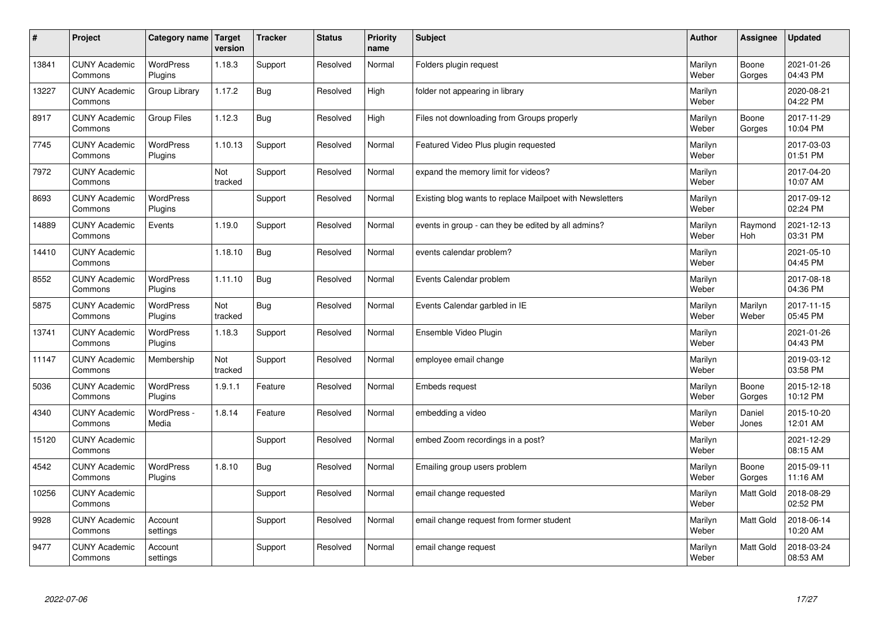| $\sharp$ | Project                         | Category name   Target      | version        | <b>Tracker</b> | <b>Status</b> | <b>Priority</b><br>name | <b>Subject</b>                                           | <b>Author</b>    | Assignee         | <b>Updated</b>         |
|----------|---------------------------------|-----------------------------|----------------|----------------|---------------|-------------------------|----------------------------------------------------------|------------------|------------------|------------------------|
| 13841    | <b>CUNY Academic</b><br>Commons | <b>WordPress</b><br>Plugins | 1.18.3         | Support        | Resolved      | Normal                  | Folders plugin request                                   | Marilyn<br>Weber | Boone<br>Gorges  | 2021-01-26<br>04:43 PM |
| 13227    | <b>CUNY Academic</b><br>Commons | Group Library               | 1.17.2         | Bug            | Resolved      | High                    | folder not appearing in library                          | Marilyn<br>Weber |                  | 2020-08-21<br>04:22 PM |
| 8917     | <b>CUNY Academic</b><br>Commons | Group Files                 | 1.12.3         | Bug            | Resolved      | High                    | Files not downloading from Groups properly               | Marilyn<br>Weber | Boone<br>Gorges  | 2017-11-29<br>10:04 PM |
| 7745     | <b>CUNY Academic</b><br>Commons | <b>WordPress</b><br>Plugins | 1.10.13        | Support        | Resolved      | Normal                  | Featured Video Plus plugin requested                     | Marilyn<br>Weber |                  | 2017-03-03<br>01:51 PM |
| 7972     | <b>CUNY Academic</b><br>Commons |                             | Not<br>tracked | Support        | Resolved      | Normal                  | expand the memory limit for videos?                      | Marilyn<br>Weber |                  | 2017-04-20<br>10:07 AM |
| 8693     | <b>CUNY Academic</b><br>Commons | <b>WordPress</b><br>Plugins |                | Support        | Resolved      | Normal                  | Existing blog wants to replace Mailpoet with Newsletters | Marilyn<br>Weber |                  | 2017-09-12<br>02:24 PM |
| 14889    | <b>CUNY Academic</b><br>Commons | Events                      | 1.19.0         | Support        | Resolved      | Normal                  | events in group - can they be edited by all admins?      | Marilyn<br>Weber | Raymond<br>Hoh   | 2021-12-13<br>03:31 PM |
| 14410    | <b>CUNY Academic</b><br>Commons |                             | 1.18.10        | Bug            | Resolved      | Normal                  | events calendar problem?                                 | Marilyn<br>Weber |                  | 2021-05-10<br>04:45 PM |
| 8552     | <b>CUNY Academic</b><br>Commons | WordPress<br>Plugins        | 1.11.10        | Bug            | Resolved      | Normal                  | Events Calendar problem                                  | Marilyn<br>Weber |                  | 2017-08-18<br>04:36 PM |
| 5875     | <b>CUNY Academic</b><br>Commons | WordPress<br>Plugins        | Not<br>tracked | Bug            | Resolved      | Normal                  | Events Calendar garbled in IE                            | Marilyn<br>Weber | Marilyn<br>Weber | 2017-11-15<br>05:45 PM |
| 13741    | <b>CUNY Academic</b><br>Commons | WordPress<br>Plugins        | 1.18.3         | Support        | Resolved      | Normal                  | Ensemble Video Plugin                                    | Marilyn<br>Weber |                  | 2021-01-26<br>04:43 PM |
| 11147    | <b>CUNY Academic</b><br>Commons | Membership                  | Not<br>tracked | Support        | Resolved      | Normal                  | employee email change                                    | Marilyn<br>Weber |                  | 2019-03-12<br>03:58 PM |
| 5036     | <b>CUNY Academic</b><br>Commons | WordPress<br>Plugins        | 1.9.1.1        | Feature        | Resolved      | Normal                  | Embeds request                                           | Marilyn<br>Weber | Boone<br>Gorges  | 2015-12-18<br>10:12 PM |
| 4340     | <b>CUNY Academic</b><br>Commons | WordPress -<br>Media        | 1.8.14         | Feature        | Resolved      | Normal                  | embedding a video                                        | Marilyn<br>Weber | Daniel<br>Jones  | 2015-10-20<br>12:01 AM |
| 15120    | <b>CUNY Academic</b><br>Commons |                             |                | Support        | Resolved      | Normal                  | embed Zoom recordings in a post?                         | Marilyn<br>Weber |                  | 2021-12-29<br>08:15 AM |
| 4542     | <b>CUNY Academic</b><br>Commons | <b>WordPress</b><br>Plugins | 1.8.10         | Bug            | Resolved      | Normal                  | Emailing group users problem                             | Marilyn<br>Weber | Boone<br>Gorges  | 2015-09-11<br>11:16 AM |
| 10256    | <b>CUNY Academic</b><br>Commons |                             |                | Support        | Resolved      | Normal                  | email change requested                                   | Marilyn<br>Weber | <b>Matt Gold</b> | 2018-08-29<br>02:52 PM |
| 9928     | <b>CUNY Academic</b><br>Commons | Account<br>settings         |                | Support        | Resolved      | Normal                  | email change request from former student                 | Marilyn<br>Weber | <b>Matt Gold</b> | 2018-06-14<br>10:20 AM |
| 9477     | <b>CUNY Academic</b><br>Commons | Account<br>settings         |                | Support        | Resolved      | Normal                  | email change request                                     | Marilyn<br>Weber | <b>Matt Gold</b> | 2018-03-24<br>08:53 AM |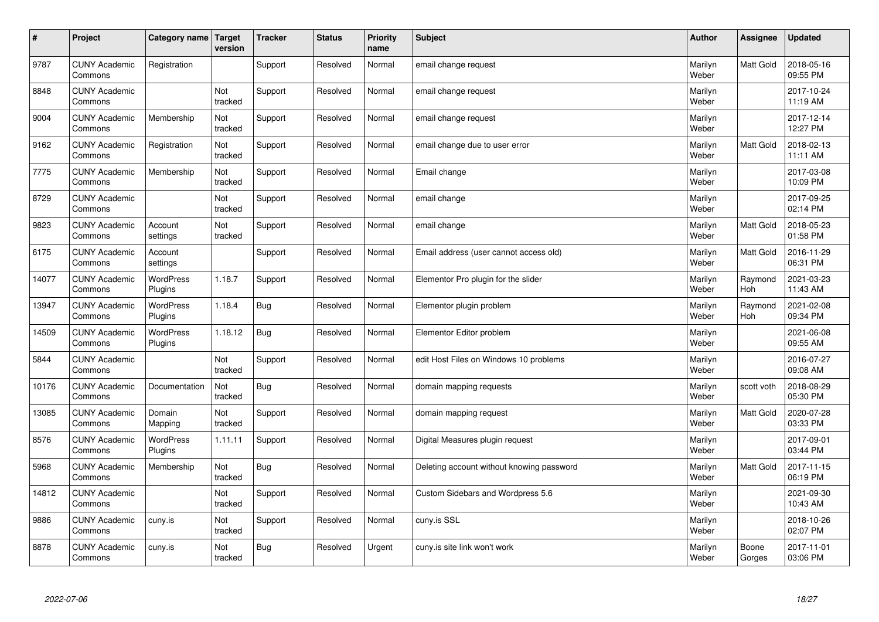| $\sharp$ | Project                         | Category name   Target      | version        | <b>Tracker</b> | <b>Status</b> | <b>Priority</b><br>name | <b>Subject</b>                            | <b>Author</b>    | Assignee              | <b>Updated</b>         |
|----------|---------------------------------|-----------------------------|----------------|----------------|---------------|-------------------------|-------------------------------------------|------------------|-----------------------|------------------------|
| 9787     | <b>CUNY Academic</b><br>Commons | Registration                |                | Support        | Resolved      | Normal                  | email change request                      | Marilyn<br>Weber | Matt Gold             | 2018-05-16<br>09:55 PM |
| 8848     | <b>CUNY Academic</b><br>Commons |                             | Not<br>tracked | Support        | Resolved      | Normal                  | email change request                      | Marilyn<br>Weber |                       | 2017-10-24<br>11:19 AM |
| 9004     | <b>CUNY Academic</b><br>Commons | Membership                  | Not<br>tracked | Support        | Resolved      | Normal                  | email change request                      | Marilyn<br>Weber |                       | 2017-12-14<br>12:27 PM |
| 9162     | <b>CUNY Academic</b><br>Commons | Registration                | Not<br>tracked | Support        | Resolved      | Normal                  | email change due to user error            | Marilyn<br>Weber | Matt Gold             | 2018-02-13<br>11:11 AM |
| 7775     | <b>CUNY Academic</b><br>Commons | Membership                  | Not<br>tracked | Support        | Resolved      | Normal                  | Email change                              | Marilyn<br>Weber |                       | 2017-03-08<br>10:09 PM |
| 8729     | <b>CUNY Academic</b><br>Commons |                             | Not<br>tracked | Support        | Resolved      | Normal                  | email change                              | Marilyn<br>Weber |                       | 2017-09-25<br>02:14 PM |
| 9823     | <b>CUNY Academic</b><br>Commons | Account<br>settings         | Not<br>tracked | Support        | Resolved      | Normal                  | email change                              | Marilyn<br>Weber | <b>Matt Gold</b>      | 2018-05-23<br>01:58 PM |
| 6175     | <b>CUNY Academic</b><br>Commons | Account<br>settings         |                | Support        | Resolved      | Normal                  | Email address (user cannot access old)    | Marilyn<br>Weber | Matt Gold             | 2016-11-29<br>06:31 PM |
| 14077    | <b>CUNY Academic</b><br>Commons | WordPress<br>Plugins        | 1.18.7         | Support        | Resolved      | Normal                  | Elementor Pro plugin for the slider       | Marilyn<br>Weber | Raymond<br>Hoh        | 2021-03-23<br>11:43 AM |
| 13947    | <b>CUNY Academic</b><br>Commons | WordPress<br>Plugins        | 1.18.4         | Bug            | Resolved      | Normal                  | Elementor plugin problem                  | Marilyn<br>Weber | Raymond<br><b>Hoh</b> | 2021-02-08<br>09:34 PM |
| 14509    | <b>CUNY Academic</b><br>Commons | <b>WordPress</b><br>Plugins | 1.18.12        | Bug            | Resolved      | Normal                  | Elementor Editor problem                  | Marilyn<br>Weber |                       | 2021-06-08<br>09:55 AM |
| 5844     | <b>CUNY Academic</b><br>Commons |                             | Not<br>tracked | Support        | Resolved      | Normal                  | edit Host Files on Windows 10 problems    | Marilyn<br>Weber |                       | 2016-07-27<br>09:08 AM |
| 10176    | <b>CUNY Academic</b><br>Commons | Documentation               | Not<br>tracked | Bug            | Resolved      | Normal                  | domain mapping requests                   | Marilyn<br>Weber | scott voth            | 2018-08-29<br>05:30 PM |
| 13085    | <b>CUNY Academic</b><br>Commons | Domain<br>Mapping           | Not<br>tracked | Support        | Resolved      | Normal                  | domain mapping request                    | Marilyn<br>Weber | <b>Matt Gold</b>      | 2020-07-28<br>03:33 PM |
| 8576     | <b>CUNY Academic</b><br>Commons | WordPress<br>Plugins        | 1.11.11        | Support        | Resolved      | Normal                  | Digital Measures plugin request           | Marilyn<br>Weber |                       | 2017-09-01<br>03:44 PM |
| 5968     | <b>CUNY Academic</b><br>Commons | Membership                  | Not<br>tracked | Bug            | Resolved      | Normal                  | Deleting account without knowing password | Marilyn<br>Weber | <b>Matt Gold</b>      | 2017-11-15<br>06:19 PM |
| 14812    | <b>CUNY Academic</b><br>Commons |                             | Not<br>tracked | Support        | Resolved      | Normal                  | Custom Sidebars and Wordpress 5.6         | Marilyn<br>Weber |                       | 2021-09-30<br>10:43 AM |
| 9886     | <b>CUNY Academic</b><br>Commons | cuny.is                     | Not<br>tracked | Support        | Resolved      | Normal                  | cuny.is SSL                               | Marilyn<br>Weber |                       | 2018-10-26<br>02:07 PM |
| 8878     | <b>CUNY Academic</b><br>Commons | cuny.is                     | Not<br>tracked | Bug            | Resolved      | Urgent                  | cuny is site link won't work              | Marilyn<br>Weber | Boone<br>Gorges       | 2017-11-01<br>03:06 PM |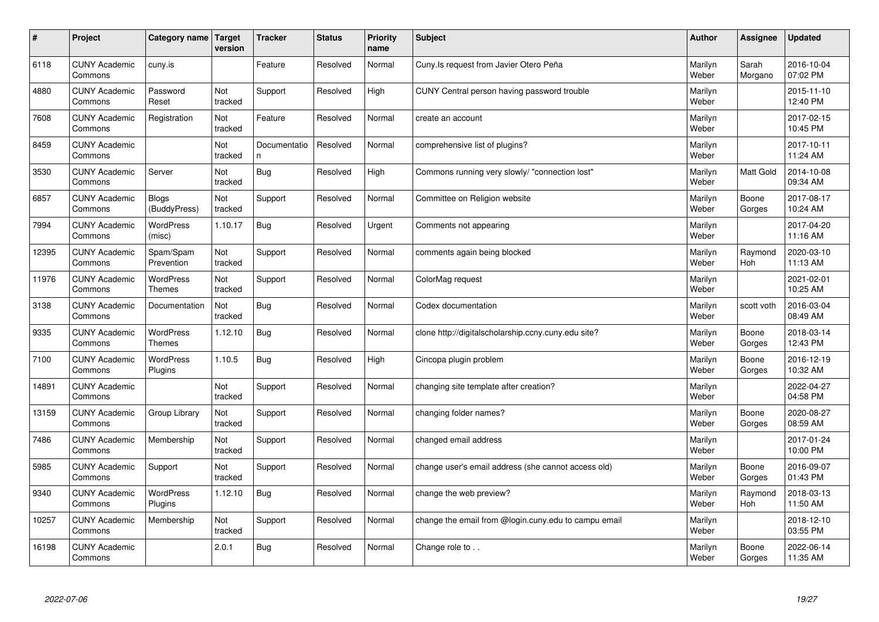| $\vert$ # | Project                         | Category name                     | <b>Target</b><br>version | <b>Tracker</b>     | <b>Status</b> | <b>Priority</b><br>name | <b>Subject</b>                                       | <b>Author</b>    | <b>Assignee</b>       | <b>Updated</b>         |
|-----------|---------------------------------|-----------------------------------|--------------------------|--------------------|---------------|-------------------------|------------------------------------------------------|------------------|-----------------------|------------------------|
| 6118      | <b>CUNY Academic</b><br>Commons | cuny.is                           |                          | Feature            | Resolved      | Normal                  | Cuny. Is request from Javier Otero Peña              | Marilyn<br>Weber | Sarah<br>Morgano      | 2016-10-04<br>07:02 PM |
| 4880      | <b>CUNY Academic</b><br>Commons | Password<br>Reset                 | Not<br>tracked           | Support            | Resolved      | High                    | CUNY Central person having password trouble          | Marilyn<br>Weber |                       | 2015-11-10<br>12:40 PM |
| 7608      | <b>CUNY Academic</b><br>Commons | Registration                      | Not<br>tracked           | Feature            | Resolved      | Normal                  | create an account                                    | Marilyn<br>Weber |                       | 2017-02-15<br>10:45 PM |
| 8459      | <b>CUNY Academic</b><br>Commons |                                   | Not<br>tracked           | Documentatio<br>n. | Resolved      | Normal                  | comprehensive list of plugins?                       | Marilyn<br>Weber |                       | 2017-10-11<br>11:24 AM |
| 3530      | <b>CUNY Academic</b><br>Commons | Server                            | Not<br>tracked           | <b>Bug</b>         | Resolved      | High                    | Commons running very slowly/ "connection lost"       | Marilyn<br>Weber | <b>Matt Gold</b>      | 2014-10-08<br>09:34 AM |
| 6857      | <b>CUNY Academic</b><br>Commons | <b>Blogs</b><br>(BuddyPress)      | Not<br>tracked           | Support            | Resolved      | Normal                  | Committee on Religion website                        | Marilyn<br>Weber | Boone<br>Gorges       | 2017-08-17<br>10:24 AM |
| 7994      | <b>CUNY Academic</b><br>Commons | <b>WordPress</b><br>(misc)        | 1.10.17                  | Bug                | Resolved      | Urgent                  | Comments not appearing                               | Marilyn<br>Weber |                       | 2017-04-20<br>11:16 AM |
| 12395     | <b>CUNY Academic</b><br>Commons | Spam/Spam<br>Prevention           | Not<br>tracked           | Support            | Resolved      | Normal                  | comments again being blocked                         | Marilyn<br>Weber | Raymond<br>Hoh        | 2020-03-10<br>11:13 AM |
| 11976     | <b>CUNY Academic</b><br>Commons | WordPress<br><b>Themes</b>        | Not<br>tracked           | Support            | Resolved      | Normal                  | ColorMag request                                     | Marilyn<br>Weber |                       | 2021-02-01<br>10:25 AM |
| 3138      | <b>CUNY Academic</b><br>Commons | Documentation                     | Not<br>tracked           | Bug                | Resolved      | Normal                  | Codex documentation                                  | Marilyn<br>Weber | scott voth            | 2016-03-04<br>08:49 AM |
| 9335      | <b>CUNY Academic</b><br>Commons | <b>WordPress</b><br><b>Themes</b> | 1.12.10                  | Bug                | Resolved      | Normal                  | clone http://digitalscholarship.ccny.cuny.edu site?  | Marilyn<br>Weber | Boone<br>Gorges       | 2018-03-14<br>12:43 PM |
| 7100      | <b>CUNY Academic</b><br>Commons | WordPress<br>Plugins              | 1.10.5                   | <b>Bug</b>         | Resolved      | High                    | Cincopa plugin problem                               | Marilyn<br>Weber | Boone<br>Gorges       | 2016-12-19<br>10:32 AM |
| 14891     | <b>CUNY Academic</b><br>Commons |                                   | Not<br>tracked           | Support            | Resolved      | Normal                  | changing site template after creation?               | Marilyn<br>Weber |                       | 2022-04-27<br>04:58 PM |
| 13159     | <b>CUNY Academic</b><br>Commons | Group Library                     | Not<br>tracked           | Support            | Resolved      | Normal                  | changing folder names?                               | Marilyn<br>Weber | Boone<br>Gorges       | 2020-08-27<br>08:59 AM |
| 7486      | <b>CUNY Academic</b><br>Commons | Membership                        | Not<br>tracked           | Support            | Resolved      | Normal                  | changed email address                                | Marilyn<br>Weber |                       | 2017-01-24<br>10:00 PM |
| 5985      | <b>CUNY Academic</b><br>Commons | Support                           | Not<br>tracked           | Support            | Resolved      | Normal                  | change user's email address (she cannot access old)  | Marilyn<br>Weber | Boone<br>Gorges       | 2016-09-07<br>01:43 PM |
| 9340      | <b>CUNY Academic</b><br>Commons | <b>WordPress</b><br>Plugins       | 1.12.10                  | Bug                | Resolved      | Normal                  | change the web preview?                              | Marilyn<br>Weber | Raymond<br><b>Hoh</b> | 2018-03-13<br>11:50 AM |
| 10257     | <b>CUNY Academic</b><br>Commons | Membership                        | Not<br>tracked           | Support            | Resolved      | Normal                  | change the email from @login.cuny.edu to campu email | Marilyn<br>Weber |                       | 2018-12-10<br>03:55 PM |
| 16198     | <b>CUNY Academic</b><br>Commons |                                   | 2.0.1                    | Bug                | Resolved      | Normal                  | Change role to                                       | Marilyn<br>Weber | Boone<br>Gorges       | 2022-06-14<br>11:35 AM |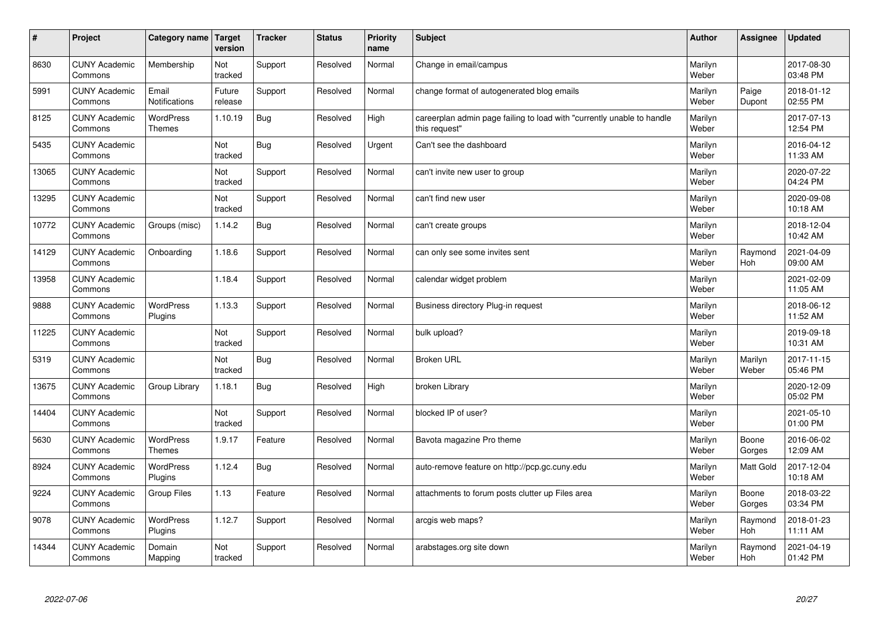| $\sharp$ | Project                         | Category name   Target            | version           | <b>Tracker</b> | <b>Status</b> | <b>Priority</b><br>name | <b>Subject</b>                                                                          | <b>Author</b>    | Assignee         | <b>Updated</b>         |
|----------|---------------------------------|-----------------------------------|-------------------|----------------|---------------|-------------------------|-----------------------------------------------------------------------------------------|------------------|------------------|------------------------|
| 8630     | <b>CUNY Academic</b><br>Commons | Membership                        | Not<br>tracked    | Support        | Resolved      | Normal                  | Change in email/campus                                                                  | Marilyn<br>Weber |                  | 2017-08-30<br>03:48 PM |
| 5991     | <b>CUNY Academic</b><br>Commons | Email<br><b>Notifications</b>     | Future<br>release | Support        | Resolved      | Normal                  | change format of autogenerated blog emails                                              | Marilyn<br>Weber | Paige<br>Dupont  | 2018-01-12<br>02:55 PM |
| 8125     | <b>CUNY Academic</b><br>Commons | <b>WordPress</b><br><b>Themes</b> | 1.10.19           | Bug            | Resolved      | High                    | careerplan admin page failing to load with "currently unable to handle<br>this request" | Marilyn<br>Weber |                  | 2017-07-13<br>12:54 PM |
| 5435     | <b>CUNY Academic</b><br>Commons |                                   | Not<br>tracked    | Bug            | Resolved      | Urgent                  | Can't see the dashboard                                                                 | Marilyn<br>Weber |                  | 2016-04-12<br>11:33 AM |
| 13065    | <b>CUNY Academic</b><br>Commons |                                   | Not<br>tracked    | Support        | Resolved      | Normal                  | can't invite new user to group                                                          | Marilyn<br>Weber |                  | 2020-07-22<br>04:24 PM |
| 13295    | <b>CUNY Academic</b><br>Commons |                                   | Not<br>tracked    | Support        | Resolved      | Normal                  | can't find new user                                                                     | Marilyn<br>Weber |                  | 2020-09-08<br>10:18 AM |
| 10772    | <b>CUNY Academic</b><br>Commons | Groups (misc)                     | 1.14.2            | <b>Bug</b>     | Resolved      | Normal                  | can't create groups                                                                     | Marilyn<br>Weber |                  | 2018-12-04<br>10:42 AM |
| 14129    | <b>CUNY Academic</b><br>Commons | Onboarding                        | 1.18.6            | Support        | Resolved      | Normal                  | can only see some invites sent                                                          | Marilyn<br>Weber | Raymond<br>Hoh   | 2021-04-09<br>09:00 AM |
| 13958    | <b>CUNY Academic</b><br>Commons |                                   | 1.18.4            | Support        | Resolved      | Normal                  | calendar widget problem                                                                 | Marilyn<br>Weber |                  | 2021-02-09<br>11:05 AM |
| 9888     | <b>CUNY Academic</b><br>Commons | WordPress<br>Plugins              | 1.13.3            | Support        | Resolved      | Normal                  | Business directory Plug-in request                                                      | Marilyn<br>Weber |                  | 2018-06-12<br>11:52 AM |
| 11225    | <b>CUNY Academic</b><br>Commons |                                   | Not<br>tracked    | Support        | Resolved      | Normal                  | bulk upload?                                                                            | Marilyn<br>Weber |                  | 2019-09-18<br>10:31 AM |
| 5319     | <b>CUNY Academic</b><br>Commons |                                   | Not<br>tracked    | <b>Bug</b>     | Resolved      | Normal                  | <b>Broken URL</b>                                                                       | Marilyn<br>Weber | Marilyn<br>Weber | 2017-11-15<br>05:46 PM |
| 13675    | <b>CUNY Academic</b><br>Commons | Group Library                     | 1.18.1            | <b>Bug</b>     | Resolved      | High                    | broken Library                                                                          | Marilyn<br>Weber |                  | 2020-12-09<br>05:02 PM |
| 14404    | <b>CUNY Academic</b><br>Commons |                                   | Not<br>tracked    | Support        | Resolved      | Normal                  | blocked IP of user?                                                                     | Marilyn<br>Weber |                  | 2021-05-10<br>01:00 PM |
| 5630     | <b>CUNY Academic</b><br>Commons | <b>WordPress</b><br><b>Themes</b> | 1.9.17            | Feature        | Resolved      | Normal                  | Bavota magazine Pro theme                                                               | Marilyn<br>Weber | Boone<br>Gorges  | 2016-06-02<br>12:09 AM |
| 8924     | <b>CUNY Academic</b><br>Commons | <b>WordPress</b><br>Plugins       | 1.12.4            | Bug            | Resolved      | Normal                  | auto-remove feature on http://pcp.gc.cuny.edu                                           | Marilyn<br>Weber | <b>Matt Gold</b> | 2017-12-04<br>10:18 AM |
| 9224     | <b>CUNY Academic</b><br>Commons | Group Files                       | 1.13              | Feature        | Resolved      | Normal                  | attachments to forum posts clutter up Files area                                        | Marilyn<br>Weber | Boone<br>Gorges  | 2018-03-22<br>03:34 PM |
| 9078     | <b>CUNY Academic</b><br>Commons | <b>WordPress</b><br>Plugins       | 1.12.7            | Support        | Resolved      | Normal                  | arcgis web maps?                                                                        | Marilyn<br>Weber | Raymond<br>Hoh   | 2018-01-23<br>11:11 AM |
| 14344    | <b>CUNY Academic</b><br>Commons | Domain<br>Mapping                 | Not<br>tracked    | Support        | Resolved      | Normal                  | arabstages.org site down                                                                | Marilyn<br>Weber | Raymond<br>Hoh   | 2021-04-19<br>01:42 PM |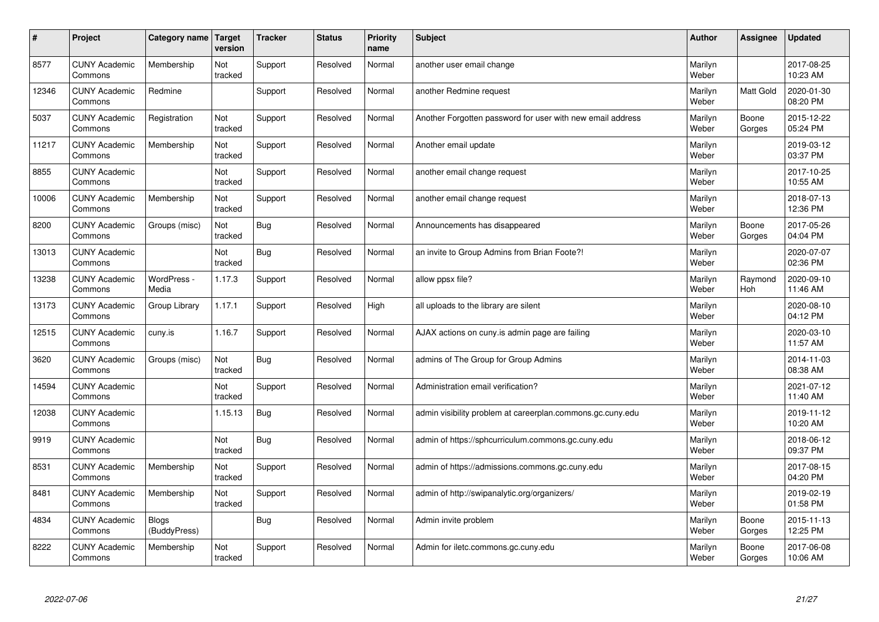| #     | Project                         | Category name                | Target<br>version | <b>Tracker</b> | <b>Status</b> | <b>Priority</b><br>name | <b>Subject</b>                                             | <b>Author</b>    | Assignee              | <b>Updated</b>         |
|-------|---------------------------------|------------------------------|-------------------|----------------|---------------|-------------------------|------------------------------------------------------------|------------------|-----------------------|------------------------|
| 8577  | <b>CUNY Academic</b><br>Commons | Membership                   | Not<br>tracked    | Support        | Resolved      | Normal                  | another user email change                                  | Marilyn<br>Weber |                       | 2017-08-25<br>10:23 AM |
| 12346 | <b>CUNY Academic</b><br>Commons | Redmine                      |                   | Support        | Resolved      | Normal                  | another Redmine request                                    | Marilyn<br>Weber | <b>Matt Gold</b>      | 2020-01-30<br>08:20 PM |
| 5037  | <b>CUNY Academic</b><br>Commons | Registration                 | Not<br>tracked    | Support        | Resolved      | Normal                  | Another Forgotten password for user with new email address | Marilyn<br>Weber | Boone<br>Gorges       | 2015-12-22<br>05:24 PM |
| 11217 | <b>CUNY Academic</b><br>Commons | Membership                   | Not<br>tracked    | Support        | Resolved      | Normal                  | Another email update                                       | Marilyn<br>Weber |                       | 2019-03-12<br>03:37 PM |
| 8855  | <b>CUNY Academic</b><br>Commons |                              | Not<br>tracked    | Support        | Resolved      | Normal                  | another email change request                               | Marilyn<br>Weber |                       | 2017-10-25<br>10:55 AM |
| 10006 | <b>CUNY Academic</b><br>Commons | Membership                   | Not<br>tracked    | Support        | Resolved      | Normal                  | another email change request                               | Marilyn<br>Weber |                       | 2018-07-13<br>12:36 PM |
| 8200  | <b>CUNY Academic</b><br>Commons | Groups (misc)                | Not<br>tracked    | Bug            | Resolved      | Normal                  | Announcements has disappeared                              | Marilyn<br>Weber | Boone<br>Gorges       | 2017-05-26<br>04:04 PM |
| 13013 | <b>CUNY Academic</b><br>Commons |                              | Not<br>tracked    | Bug            | Resolved      | Normal                  | an invite to Group Admins from Brian Foote?!               | Marilyn<br>Weber |                       | 2020-07-07<br>02:36 PM |
| 13238 | <b>CUNY Academic</b><br>Commons | WordPress -<br>Media         | 1.17.3            | Support        | Resolved      | Normal                  | allow ppsx file?                                           | Marilyn<br>Weber | Raymond<br><b>Hoh</b> | 2020-09-10<br>11:46 AM |
| 13173 | <b>CUNY Academic</b><br>Commons | Group Library                | 1.17.1            | Support        | Resolved      | High                    | all uploads to the library are silent                      | Marilyn<br>Weber |                       | 2020-08-10<br>04:12 PM |
| 12515 | <b>CUNY Academic</b><br>Commons | cuny.is                      | 1.16.7            | Support        | Resolved      | Normal                  | AJAX actions on cuny is admin page are failing             | Marilyn<br>Weber |                       | 2020-03-10<br>11:57 AM |
| 3620  | <b>CUNY Academic</b><br>Commons | Groups (misc)                | Not<br>tracked    | Bug            | Resolved      | Normal                  | admins of The Group for Group Admins                       | Marilyn<br>Weber |                       | 2014-11-03<br>08:38 AM |
| 14594 | <b>CUNY Academic</b><br>Commons |                              | Not<br>tracked    | Support        | Resolved      | Normal                  | Administration email verification?                         | Marilyn<br>Weber |                       | 2021-07-12<br>11:40 AM |
| 12038 | <b>CUNY Academic</b><br>Commons |                              | 1.15.13           | Bug            | Resolved      | Normal                  | admin visibility problem at careerplan.commons.gc.cuny.edu | Marilyn<br>Weber |                       | 2019-11-12<br>10:20 AM |
| 9919  | <b>CUNY Academic</b><br>Commons |                              | Not<br>tracked    | Bug            | Resolved      | Normal                  | admin of https://sphcurriculum.commons.gc.cuny.edu         | Marilyn<br>Weber |                       | 2018-06-12<br>09:37 PM |
| 8531  | <b>CUNY Academic</b><br>Commons | Membership                   | Not<br>tracked    | Support        | Resolved      | Normal                  | admin of https://admissions.commons.gc.cuny.edu            | Marilyn<br>Weber |                       | 2017-08-15<br>04:20 PM |
| 8481  | <b>CUNY Academic</b><br>Commons | Membership                   | Not<br>tracked    | Support        | Resolved      | Normal                  | admin of http://swipanalytic.org/organizers/               | Marilyn<br>Weber |                       | 2019-02-19<br>01:58 PM |
| 4834  | <b>CUNY Academic</b><br>Commons | <b>Blogs</b><br>(BuddyPress) |                   | Bug            | Resolved      | Normal                  | Admin invite problem                                       | Marilyn<br>Weber | Boone<br>Gorges       | 2015-11-13<br>12:25 PM |
| 8222  | <b>CUNY Academic</b><br>Commons | Membership                   | Not<br>tracked    | Support        | Resolved      | Normal                  | Admin for iletc.commons.gc.cuny.edu                        | Marilyn<br>Weber | Boone<br>Gorges       | 2017-06-08<br>10:06 AM |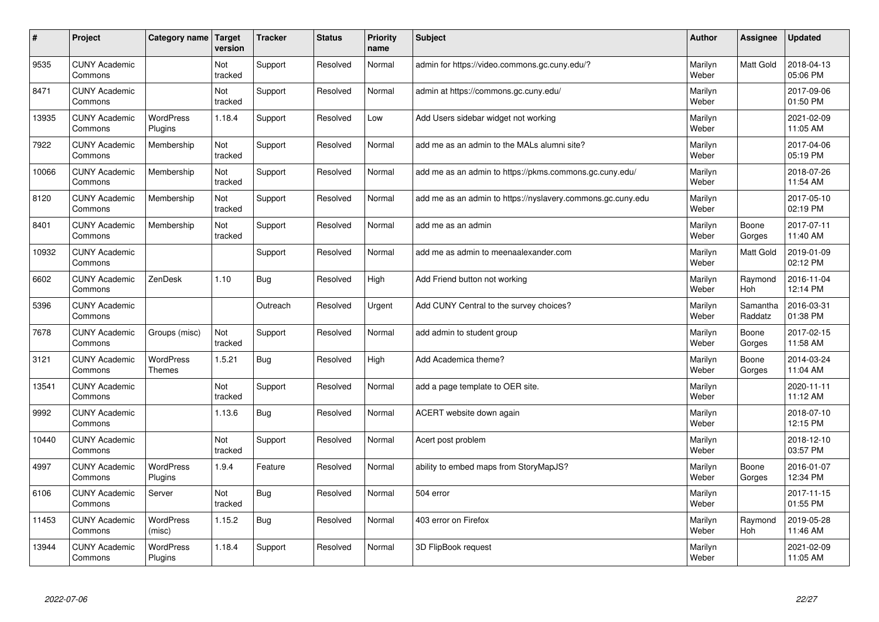| $\vert$ # | Project                         | Category name                     | Target<br>version | <b>Tracker</b> | <b>Status</b> | <b>Priority</b><br>name | <b>Subject</b>                                              | <b>Author</b>    | Assignee              | <b>Updated</b>         |
|-----------|---------------------------------|-----------------------------------|-------------------|----------------|---------------|-------------------------|-------------------------------------------------------------|------------------|-----------------------|------------------------|
| 9535      | <b>CUNY Academic</b><br>Commons |                                   | Not<br>tracked    | Support        | Resolved      | Normal                  | admin for https://video.commons.gc.cuny.edu/?               | Marilyn<br>Weber | Matt Gold             | 2018-04-13<br>05:06 PM |
| 8471      | <b>CUNY Academic</b><br>Commons |                                   | Not<br>tracked    | Support        | Resolved      | Normal                  | admin at https://commons.gc.cuny.edu/                       | Marilyn<br>Weber |                       | 2017-09-06<br>01:50 PM |
| 13935     | <b>CUNY Academic</b><br>Commons | <b>WordPress</b><br>Plugins       | 1.18.4            | Support        | Resolved      | Low                     | Add Users sidebar widget not working                        | Marilyn<br>Weber |                       | 2021-02-09<br>11:05 AM |
| 7922      | <b>CUNY Academic</b><br>Commons | Membership                        | Not<br>tracked    | Support        | Resolved      | Normal                  | add me as an admin to the MALs alumni site?                 | Marilyn<br>Weber |                       | 2017-04-06<br>05:19 PM |
| 10066     | <b>CUNY Academic</b><br>Commons | Membership                        | Not<br>tracked    | Support        | Resolved      | Normal                  | add me as an admin to https://pkms.commons.gc.cuny.edu/     | Marilyn<br>Weber |                       | 2018-07-26<br>11:54 AM |
| 8120      | <b>CUNY Academic</b><br>Commons | Membership                        | Not<br>tracked    | Support        | Resolved      | Normal                  | add me as an admin to https://nyslavery.commons.gc.cuny.edu | Marilyn<br>Weber |                       | 2017-05-10<br>02:19 PM |
| 8401      | <b>CUNY Academic</b><br>Commons | Membership                        | Not<br>tracked    | Support        | Resolved      | Normal                  | add me as an admin                                          | Marilyn<br>Weber | Boone<br>Gorges       | 2017-07-11<br>11:40 AM |
| 10932     | <b>CUNY Academic</b><br>Commons |                                   |                   | Support        | Resolved      | Normal                  | add me as admin to meenaalexander.com                       | Marilyn<br>Weber | <b>Matt Gold</b>      | 2019-01-09<br>02:12 PM |
| 6602      | <b>CUNY Academic</b><br>Commons | ZenDesk                           | 1.10              | <b>Bug</b>     | Resolved      | High                    | Add Friend button not working                               | Marilyn<br>Weber | Raymond<br>Hoh        | 2016-11-04<br>12:14 PM |
| 5396      | <b>CUNY Academic</b><br>Commons |                                   |                   | Outreach       | Resolved      | Urgent                  | Add CUNY Central to the survey choices?                     | Marilyn<br>Weber | Samantha<br>Raddatz   | 2016-03-31<br>01:38 PM |
| 7678      | <b>CUNY Academic</b><br>Commons | Groups (misc)                     | Not<br>tracked    | Support        | Resolved      | Normal                  | add admin to student group                                  | Marilyn<br>Weber | Boone<br>Gorges       | 2017-02-15<br>11:58 AM |
| 3121      | <b>CUNY Academic</b><br>Commons | <b>WordPress</b><br><b>Themes</b> | 1.5.21            | <b>Bug</b>     | Resolved      | High                    | Add Academica theme?                                        | Marilyn<br>Weber | Boone<br>Gorges       | 2014-03-24<br>11:04 AM |
| 13541     | <b>CUNY Academic</b><br>Commons |                                   | Not<br>tracked    | Support        | Resolved      | Normal                  | add a page template to OER site.                            | Marilyn<br>Weber |                       | 2020-11-11<br>11:12 AM |
| 9992      | <b>CUNY Academic</b><br>Commons |                                   | 1.13.6            | <b>Bug</b>     | Resolved      | Normal                  | ACERT website down again                                    | Marilyn<br>Weber |                       | 2018-07-10<br>12:15 PM |
| 10440     | <b>CUNY Academic</b><br>Commons |                                   | Not<br>tracked    | Support        | Resolved      | Normal                  | Acert post problem                                          | Marilyn<br>Weber |                       | 2018-12-10<br>03:57 PM |
| 4997      | <b>CUNY Academic</b><br>Commons | WordPress<br>Plugins              | 1.9.4             | Feature        | Resolved      | Normal                  | ability to embed maps from StoryMapJS?                      | Marilyn<br>Weber | Boone<br>Gorges       | 2016-01-07<br>12:34 PM |
| 6106      | <b>CUNY Academic</b><br>Commons | Server                            | Not<br>tracked    | <b>Bug</b>     | Resolved      | Normal                  | 504 error                                                   | Marilyn<br>Weber |                       | 2017-11-15<br>01:55 PM |
| 11453     | <b>CUNY Academic</b><br>Commons | <b>WordPress</b><br>(misc)        | 1.15.2            | <b>Bug</b>     | Resolved      | Normal                  | 403 error on Firefox                                        | Marilyn<br>Weber | Raymond<br><b>Hoh</b> | 2019-05-28<br>11:46 AM |
| 13944     | <b>CUNY Academic</b><br>Commons | <b>WordPress</b><br>Plugins       | 1.18.4            | Support        | Resolved      | Normal                  | 3D FlipBook request                                         | Marilyn<br>Weber |                       | 2021-02-09<br>11:05 AM |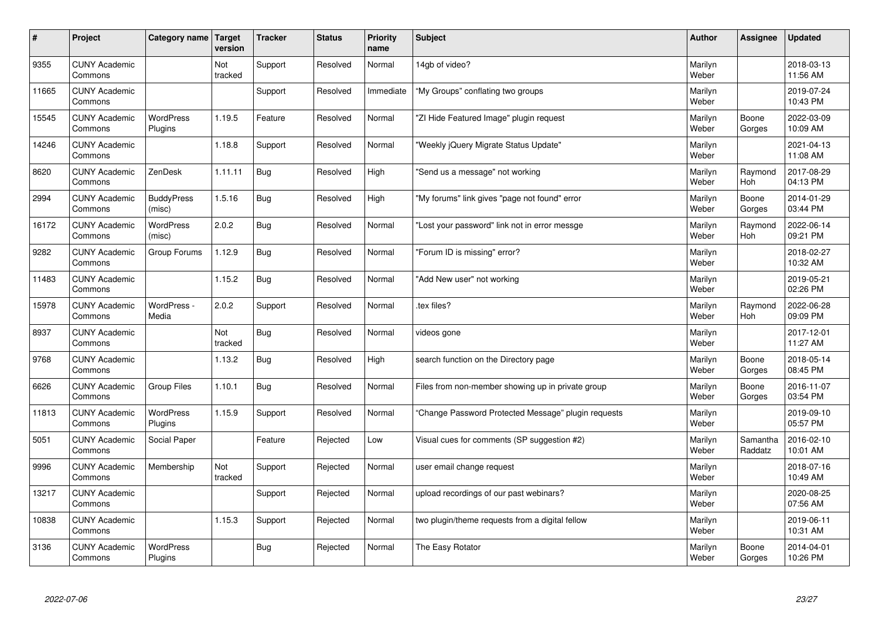| #     | Project                         | Category name   Target      | version        | <b>Tracker</b> | <b>Status</b> | <b>Priority</b><br>name | <b>Subject</b>                                      | <b>Author</b>    | Assignee              | <b>Updated</b>         |
|-------|---------------------------------|-----------------------------|----------------|----------------|---------------|-------------------------|-----------------------------------------------------|------------------|-----------------------|------------------------|
| 9355  | <b>CUNY Academic</b><br>Commons |                             | Not<br>tracked | Support        | Resolved      | Normal                  | 14gb of video?                                      | Marilyn<br>Weber |                       | 2018-03-13<br>11:56 AM |
| 11665 | <b>CUNY Academic</b><br>Commons |                             |                | Support        | Resolved      | Immediate               | "My Groups" conflating two groups                   | Marilyn<br>Weber |                       | 2019-07-24<br>10:43 PM |
| 15545 | <b>CUNY Academic</b><br>Commons | <b>WordPress</b><br>Plugins | 1.19.5         | Feature        | Resolved      | Normal                  | 'ZI Hide Featured Image" plugin request             | Marilyn<br>Weber | Boone<br>Gorges       | 2022-03-09<br>10:09 AM |
| 14246 | <b>CUNY Academic</b><br>Commons |                             | 1.18.8         | Support        | Resolved      | Normal                  | 'Weekly jQuery Migrate Status Update"               | Marilyn<br>Weber |                       | 2021-04-13<br>11:08 AM |
| 8620  | <b>CUNY Academic</b><br>Commons | ZenDesk                     | 1.11.11        | Bug            | Resolved      | High                    | 'Send us a message" not working                     | Marilyn<br>Weber | Raymond<br><b>Hoh</b> | 2017-08-29<br>04:13 PM |
| 2994  | <b>CUNY Academic</b><br>Commons | <b>BuddyPress</b><br>(misc) | 1.5.16         | <b>Bug</b>     | Resolved      | High                    | "My forums" link gives "page not found" error       | Marilyn<br>Weber | Boone<br>Gorges       | 2014-01-29<br>03:44 PM |
| 16172 | <b>CUNY Academic</b><br>Commons | <b>WordPress</b><br>(misc)  | 2.0.2          | Bug            | Resolved      | Normal                  | 'Lost your password" link not in error messge       | Marilyn<br>Weber | Raymond<br>Hoh        | 2022-06-14<br>09:21 PM |
| 9282  | <b>CUNY Academic</b><br>Commons | Group Forums                | 1.12.9         | <b>Bug</b>     | Resolved      | Normal                  | 'Forum ID is missing" error?                        | Marilyn<br>Weber |                       | 2018-02-27<br>10:32 AM |
| 11483 | <b>CUNY Academic</b><br>Commons |                             | 1.15.2         | Bug            | Resolved      | Normal                  | 'Add New user" not working                          | Marilyn<br>Weber |                       | 2019-05-21<br>02:26 PM |
| 15978 | <b>CUNY Academic</b><br>Commons | WordPress -<br>Media        | 2.0.2          | Support        | Resolved      | Normal                  | tex files?                                          | Marilyn<br>Weber | Raymond<br><b>Hoh</b> | 2022-06-28<br>09:09 PM |
| 8937  | <b>CUNY Academic</b><br>Commons |                             | Not<br>tracked | Bug            | Resolved      | Normal                  | videos gone                                         | Marilyn<br>Weber |                       | 2017-12-01<br>11:27 AM |
| 9768  | <b>CUNY Academic</b><br>Commons |                             | 1.13.2         | <b>Bug</b>     | Resolved      | High                    | search function on the Directory page               | Marilyn<br>Weber | Boone<br>Gorges       | 2018-05-14<br>08:45 PM |
| 6626  | <b>CUNY Academic</b><br>Commons | <b>Group Files</b>          | 1.10.1         | Bug            | Resolved      | Normal                  | Files from non-member showing up in private group   | Marilyn<br>Weber | Boone<br>Gorges       | 2016-11-07<br>03:54 PM |
| 11813 | <b>CUNY Academic</b><br>Commons | WordPress<br>Plugins        | 1.15.9         | Support        | Resolved      | Normal                  | 'Change Password Protected Message" plugin requests | Marilyn<br>Weber |                       | 2019-09-10<br>05:57 PM |
| 5051  | <b>CUNY Academic</b><br>Commons | Social Paper                |                | Feature        | Rejected      | Low                     | Visual cues for comments (SP suggestion #2)         | Marilyn<br>Weber | Samantha<br>Raddatz   | 2016-02-10<br>10:01 AM |
| 9996  | <b>CUNY Academic</b><br>Commons | Membership                  | Not<br>tracked | Support        | Rejected      | Normal                  | user email change request                           | Marilyn<br>Weber |                       | 2018-07-16<br>10:49 AM |
| 13217 | <b>CUNY Academic</b><br>Commons |                             |                | Support        | Rejected      | Normal                  | upload recordings of our past webinars?             | Marilyn<br>Weber |                       | 2020-08-25<br>07:56 AM |
| 10838 | <b>CUNY Academic</b><br>Commons |                             | 1.15.3         | Support        | Rejected      | Normal                  | two plugin/theme requests from a digital fellow     | Marilyn<br>Weber |                       | 2019-06-11<br>10:31 AM |
| 3136  | <b>CUNY Academic</b><br>Commons | <b>WordPress</b><br>Plugins |                | Bug            | Rejected      | Normal                  | The Easy Rotator                                    | Marilyn<br>Weber | Boone<br>Gorges       | 2014-04-01<br>10:26 PM |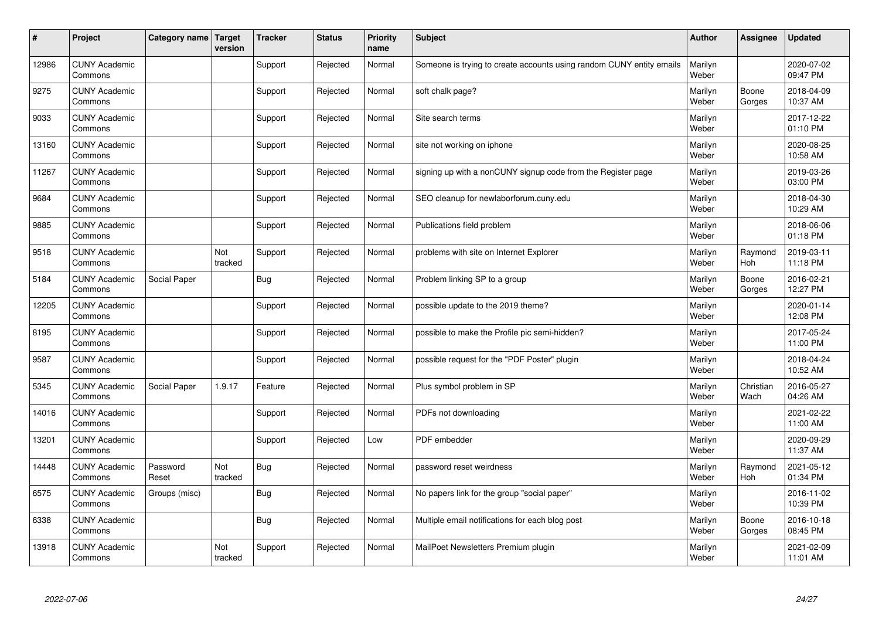| $\vert$ # | Project                         | Category name Target | version        | <b>Tracker</b> | <b>Status</b> | <b>Priority</b><br>name | <b>Subject</b>                                                       | <b>Author</b>    | <b>Assignee</b>       | <b>Updated</b>         |
|-----------|---------------------------------|----------------------|----------------|----------------|---------------|-------------------------|----------------------------------------------------------------------|------------------|-----------------------|------------------------|
| 12986     | <b>CUNY Academic</b><br>Commons |                      |                | Support        | Rejected      | Normal                  | Someone is trying to create accounts using random CUNY entity emails | Marilyn<br>Weber |                       | 2020-07-02<br>09:47 PM |
| 9275      | <b>CUNY Academic</b><br>Commons |                      |                | Support        | Rejected      | Normal                  | soft chalk page?                                                     | Marilyn<br>Weber | Boone<br>Gorges       | 2018-04-09<br>10:37 AM |
| 9033      | <b>CUNY Academic</b><br>Commons |                      |                | Support        | Rejected      | Normal                  | Site search terms                                                    | Marilyn<br>Weber |                       | 2017-12-22<br>01:10 PM |
| 13160     | <b>CUNY Academic</b><br>Commons |                      |                | Support        | Rejected      | Normal                  | site not working on iphone                                           | Marilyn<br>Weber |                       | 2020-08-25<br>10:58 AM |
| 11267     | <b>CUNY Academic</b><br>Commons |                      |                | Support        | Rejected      | Normal                  | signing up with a nonCUNY signup code from the Register page         | Marilyn<br>Weber |                       | 2019-03-26<br>03:00 PM |
| 9684      | <b>CUNY Academic</b><br>Commons |                      |                | Support        | Rejected      | Normal                  | SEO cleanup for newlaborforum.cuny.edu                               | Marilyn<br>Weber |                       | 2018-04-30<br>10:29 AM |
| 9885      | <b>CUNY Academic</b><br>Commons |                      |                | Support        | Rejected      | Normal                  | Publications field problem                                           | Marilyn<br>Weber |                       | 2018-06-06<br>01:18 PM |
| 9518      | <b>CUNY Academic</b><br>Commons |                      | Not<br>tracked | Support        | Rejected      | Normal                  | problems with site on Internet Explorer                              | Marilyn<br>Weber | Raymond<br><b>Hoh</b> | 2019-03-11<br>11:18 PM |
| 5184      | <b>CUNY Academic</b><br>Commons | Social Paper         |                | Bug            | Rejected      | Normal                  | Problem linking SP to a group                                        | Marilyn<br>Weber | Boone<br>Gorges       | 2016-02-21<br>12:27 PM |
| 12205     | <b>CUNY Academic</b><br>Commons |                      |                | Support        | Rejected      | Normal                  | possible update to the 2019 theme?                                   | Marilyn<br>Weber |                       | 2020-01-14<br>12:08 PM |
| 8195      | <b>CUNY Academic</b><br>Commons |                      |                | Support        | Rejected      | Normal                  | possible to make the Profile pic semi-hidden?                        | Marilyn<br>Weber |                       | 2017-05-24<br>11:00 PM |
| 9587      | <b>CUNY Academic</b><br>Commons |                      |                | Support        | Rejected      | Normal                  | possible request for the "PDF Poster" plugin                         | Marilyn<br>Weber |                       | 2018-04-24<br>10:52 AM |
| 5345      | <b>CUNY Academic</b><br>Commons | Social Paper         | 1.9.17         | Feature        | Rejected      | Normal                  | Plus symbol problem in SP                                            | Marilyn<br>Weber | Christian<br>Wach     | 2016-05-27<br>04:26 AM |
| 14016     | <b>CUNY Academic</b><br>Commons |                      |                | Support        | Rejected      | Normal                  | PDFs not downloading                                                 | Marilyn<br>Weber |                       | 2021-02-22<br>11:00 AM |
| 13201     | <b>CUNY Academic</b><br>Commons |                      |                | Support        | Rejected      | Low                     | PDF embedder                                                         | Marilyn<br>Weber |                       | 2020-09-29<br>11:37 AM |
| 14448     | <b>CUNY Academic</b><br>Commons | Password<br>Reset    | Not<br>tracked | Bug            | Rejected      | Normal                  | password reset weirdness                                             | Marilyn<br>Weber | Raymond<br>Hoh        | 2021-05-12<br>01:34 PM |
| 6575      | <b>CUNY Academic</b><br>Commons | Groups (misc)        |                | Bug            | Rejected      | Normal                  | No papers link for the group "social paper"                          | Marilyn<br>Weber |                       | 2016-11-02<br>10:39 PM |
| 6338      | <b>CUNY Academic</b><br>Commons |                      |                | <b>Bug</b>     | Rejected      | Normal                  | Multiple email notifications for each blog post                      | Marilyn<br>Weber | Boone<br>Gorges       | 2016-10-18<br>08:45 PM |
| 13918     | <b>CUNY Academic</b><br>Commons |                      | Not<br>tracked | Support        | Rejected      | Normal                  | MailPoet Newsletters Premium plugin                                  | Marilyn<br>Weber |                       | 2021-02-09<br>11:01 AM |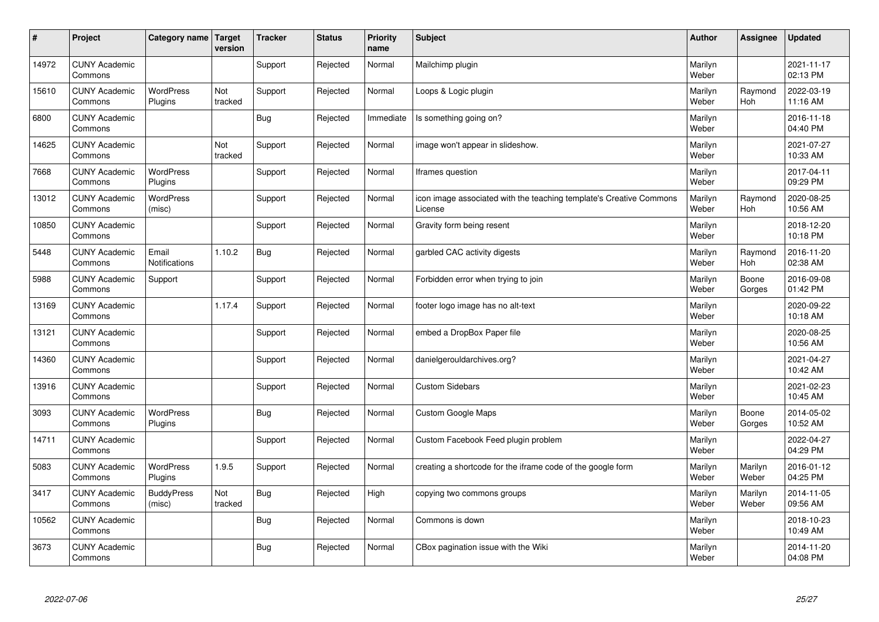| #     | Project                         | Category name   Target      | version        | <b>Tracker</b> | <b>Status</b> | <b>Priority</b><br>name | <b>Subject</b>                                                                 | <b>Author</b>    | Assignee              | <b>Updated</b>         |
|-------|---------------------------------|-----------------------------|----------------|----------------|---------------|-------------------------|--------------------------------------------------------------------------------|------------------|-----------------------|------------------------|
| 14972 | <b>CUNY Academic</b><br>Commons |                             |                | Support        | Rejected      | Normal                  | Mailchimp plugin                                                               | Marilyn<br>Weber |                       | 2021-11-17<br>02:13 PM |
| 15610 | <b>CUNY Academic</b><br>Commons | <b>WordPress</b><br>Plugins | Not<br>tracked | Support        | Rejected      | Normal                  | Loops & Logic plugin                                                           | Marilyn<br>Weber | Raymond<br><b>Hoh</b> | 2022-03-19<br>11:16 AM |
| 6800  | <b>CUNY Academic</b><br>Commons |                             |                | Bug            | Rejected      | Immediate               | Is something going on?                                                         | Marilyn<br>Weber |                       | 2016-11-18<br>04:40 PM |
| 14625 | <b>CUNY Academic</b><br>Commons |                             | Not<br>tracked | Support        | Rejected      | Normal                  | image won't appear in slideshow.                                               | Marilyn<br>Weber |                       | 2021-07-27<br>10:33 AM |
| 7668  | <b>CUNY Academic</b><br>Commons | WordPress<br>Plugins        |                | Support        | Rejected      | Normal                  | lframes question                                                               | Marilyn<br>Weber |                       | 2017-04-11<br>09:29 PM |
| 13012 | <b>CUNY Academic</b><br>Commons | <b>WordPress</b><br>(misc)  |                | Support        | Rejected      | Normal                  | icon image associated with the teaching template's Creative Commons<br>License | Marilyn<br>Weber | Raymond<br>Hoh        | 2020-08-25<br>10:56 AM |
| 10850 | <b>CUNY Academic</b><br>Commons |                             |                | Support        | Rejected      | Normal                  | Gravity form being resent                                                      | Marilyn<br>Weber |                       | 2018-12-20<br>10:18 PM |
| 5448  | <b>CUNY Academic</b><br>Commons | Email<br>Notifications      | 1.10.2         | Bug            | Rejected      | Normal                  | garbled CAC activity digests                                                   | Marilyn<br>Weber | Raymond<br>Hoh        | 2016-11-20<br>02:38 AM |
| 5988  | <b>CUNY Academic</b><br>Commons | Support                     |                | Support        | Rejected      | Normal                  | Forbidden error when trying to join                                            | Marilyn<br>Weber | Boone<br>Gorges       | 2016-09-08<br>01:42 PM |
| 13169 | <b>CUNY Academic</b><br>Commons |                             | 1.17.4         | Support        | Rejected      | Normal                  | footer logo image has no alt-text                                              | Marilyn<br>Weber |                       | 2020-09-22<br>10:18 AM |
| 13121 | <b>CUNY Academic</b><br>Commons |                             |                | Support        | Rejected      | Normal                  | embed a DropBox Paper file                                                     | Marilyn<br>Weber |                       | 2020-08-25<br>10:56 AM |
| 14360 | <b>CUNY Academic</b><br>Commons |                             |                | Support        | Rejected      | Normal                  | danielgerouldarchives.org?                                                     | Marilyn<br>Weber |                       | 2021-04-27<br>10:42 AM |
| 13916 | <b>CUNY Academic</b><br>Commons |                             |                | Support        | Rejected      | Normal                  | <b>Custom Sidebars</b>                                                         | Marilyn<br>Weber |                       | 2021-02-23<br>10:45 AM |
| 3093  | <b>CUNY Academic</b><br>Commons | <b>WordPress</b><br>Plugins |                | Bug            | Rejected      | Normal                  | <b>Custom Google Maps</b>                                                      | Marilyn<br>Weber | Boone<br>Gorges       | 2014-05-02<br>10:52 AM |
| 14711 | <b>CUNY Academic</b><br>Commons |                             |                | Support        | Rejected      | Normal                  | Custom Facebook Feed plugin problem                                            | Marilyn<br>Weber |                       | 2022-04-27<br>04:29 PM |
| 5083  | <b>CUNY Academic</b><br>Commons | WordPress<br>Plugins        | 1.9.5          | Support        | Rejected      | Normal                  | creating a shortcode for the iframe code of the google form                    | Marilyn<br>Weber | Marilyn<br>Weber      | 2016-01-12<br>04:25 PM |
| 3417  | <b>CUNY Academic</b><br>Commons | <b>BuddyPress</b><br>(misc) | Not<br>tracked | <b>Bug</b>     | Rejected      | High                    | copying two commons groups                                                     | Marilyn<br>Weber | Marilyn<br>Weber      | 2014-11-05<br>09:56 AM |
| 10562 | <b>CUNY Academic</b><br>Commons |                             |                | Bug            | Rejected      | Normal                  | Commons is down                                                                | Marilyn<br>Weber |                       | 2018-10-23<br>10:49 AM |
| 3673  | <b>CUNY Academic</b><br>Commons |                             |                | Bug            | Rejected      | Normal                  | CBox pagination issue with the Wiki                                            | Marilyn<br>Weber |                       | 2014-11-20<br>04:08 PM |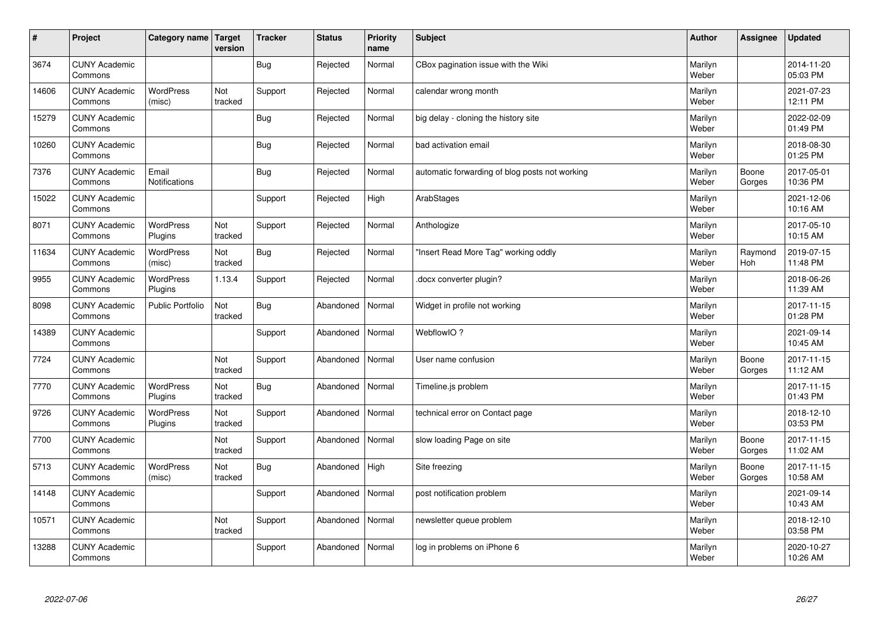| #     | Project                         | Category name   Target        | version        | <b>Tracker</b> | <b>Status</b> | <b>Priority</b><br>name | <b>Subject</b>                                 | <b>Author</b>    | Assignee        | <b>Updated</b>         |
|-------|---------------------------------|-------------------------------|----------------|----------------|---------------|-------------------------|------------------------------------------------|------------------|-----------------|------------------------|
| 3674  | <b>CUNY Academic</b><br>Commons |                               |                | <b>Bug</b>     | Rejected      | Normal                  | CBox pagination issue with the Wiki            | Marilyn<br>Weber |                 | 2014-11-20<br>05:03 PM |
| 14606 | <b>CUNY Academic</b><br>Commons | <b>WordPress</b><br>(misc)    | Not<br>tracked | Support        | Rejected      | Normal                  | calendar wrong month                           | Marilyn<br>Weber |                 | 2021-07-23<br>12:11 PM |
| 15279 | <b>CUNY Academic</b><br>Commons |                               |                | Bug            | Rejected      | Normal                  | big delay - cloning the history site           | Marilyn<br>Weber |                 | 2022-02-09<br>01:49 PM |
| 10260 | <b>CUNY Academic</b><br>Commons |                               |                | <b>Bug</b>     | Rejected      | Normal                  | bad activation email                           | Marilyn<br>Weber |                 | 2018-08-30<br>01:25 PM |
| 7376  | <b>CUNY Academic</b><br>Commons | Email<br><b>Notifications</b> |                | <b>Bug</b>     | Rejected      | Normal                  | automatic forwarding of blog posts not working | Marilyn<br>Weber | Boone<br>Gorges | 2017-05-01<br>10:36 PM |
| 15022 | <b>CUNY Academic</b><br>Commons |                               |                | Support        | Rejected      | High                    | ArabStages                                     | Marilyn<br>Weber |                 | 2021-12-06<br>10:16 AM |
| 8071  | <b>CUNY Academic</b><br>Commons | WordPress<br>Plugins          | Not<br>tracked | Support        | Rejected      | Normal                  | Anthologize                                    | Marilyn<br>Weber |                 | 2017-05-10<br>10:15 AM |
| 11634 | <b>CUNY Academic</b><br>Commons | WordPress<br>(misc)           | Not<br>tracked | <b>Bug</b>     | Rejected      | Normal                  | 'Insert Read More Tag" working oddly           | Marilyn<br>Weber | Raymond<br>Hoh  | 2019-07-15<br>11:48 PM |
| 9955  | <b>CUNY Academic</b><br>Commons | WordPress<br>Plugins          | 1.13.4         | Support        | Rejected      | Normal                  | docx converter plugin?                         | Marilyn<br>Weber |                 | 2018-06-26<br>11:39 AM |
| 8098  | <b>CUNY Academic</b><br>Commons | <b>Public Portfolio</b>       | Not<br>tracked | <b>Bug</b>     | Abandoned     | Normal                  | Widget in profile not working                  | Marilyn<br>Weber |                 | 2017-11-15<br>01:28 PM |
| 14389 | <b>CUNY Academic</b><br>Commons |                               |                | Support        | Abandoned     | Normal                  | WebflowIO?                                     | Marilyn<br>Weber |                 | 2021-09-14<br>10:45 AM |
| 7724  | <b>CUNY Academic</b><br>Commons |                               | Not<br>tracked | Support        | Abandoned     | Normal                  | User name confusion                            | Marilyn<br>Weber | Boone<br>Gorges | 2017-11-15<br>11:12 AM |
| 7770  | <b>CUNY Academic</b><br>Commons | <b>WordPress</b><br>Plugins   | Not<br>tracked | <b>Bug</b>     | Abandoned     | Normal                  | Timeline.js problem                            | Marilyn<br>Weber |                 | 2017-11-15<br>01:43 PM |
| 9726  | <b>CUNY Academic</b><br>Commons | WordPress<br>Plugins          | Not<br>tracked | Support        | Abandoned     | Normal                  | technical error on Contact page                | Marilyn<br>Weber |                 | 2018-12-10<br>03:53 PM |
| 7700  | <b>CUNY Academic</b><br>Commons |                               | Not<br>tracked | Support        | Abandoned     | Normal                  | slow loading Page on site                      | Marilyn<br>Weber | Boone<br>Gorges | 2017-11-15<br>11:02 AM |
| 5713  | <b>CUNY Academic</b><br>Commons | <b>WordPress</b><br>(misc)    | Not<br>tracked | <b>Bug</b>     | Abandoned     | High                    | Site freezing                                  | Marilyn<br>Weber | Boone<br>Gorges | 2017-11-15<br>10:58 AM |
| 14148 | <b>CUNY Academic</b><br>Commons |                               |                | Support        | Abandoned     | Normal                  | post notification problem                      | Marilyn<br>Weber |                 | 2021-09-14<br>10:43 AM |
| 10571 | <b>CUNY Academic</b><br>Commons |                               | Not<br>tracked | Support        | Abandoned     | Normal                  | newsletter queue problem                       | Marilyn<br>Weber |                 | 2018-12-10<br>03:58 PM |
| 13288 | <b>CUNY Academic</b><br>Commons |                               |                | Support        | Abandoned     | Normal                  | log in problems on iPhone 6                    | Marilyn<br>Weber |                 | 2020-10-27<br>10:26 AM |